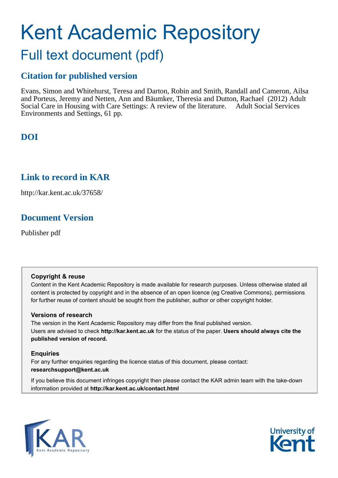# Kent Academic Repository Full text document (pdf)

# **Citation for published version**

Evans, Simon and Whitehurst, Teresa and Darton, Robin and Smith, Randall and Cameron, Ailsa and Porteus, Jeremy and Netten, Ann and Bäumker, Theresia and Dutton, Rachael (2012) Adult Social Care in Housing with Care Settings: A review of the literature. Adult Social Services Environments and Settings, 61 pp.

# **DOI**

# **Link to record in KAR**

http://kar.kent.ac.uk/37658/

# **Document Version**

Publisher pdf

# **Copyright & reuse**

Content in the Kent Academic Repository is made available for research purposes. Unless otherwise stated all content is protected by copyright and in the absence of an open licence (eg Creative Commons), permissions for further reuse of content should be sought from the publisher, author or other copyright holder.

# **Versions of research**

The version in the Kent Academic Repository may differ from the final published version. Users are advised to check **http://kar.kent.ac.uk** for the status of the paper. **Users should always cite the published version of record.**

# **Enquiries**

For any further enquiries regarding the licence status of this document, please contact: **researchsupport@kent.ac.uk**

If you believe this document infringes copyright then please contact the KAR admin team with the take-down information provided at **http://kar.kent.ac.uk/contact.html**



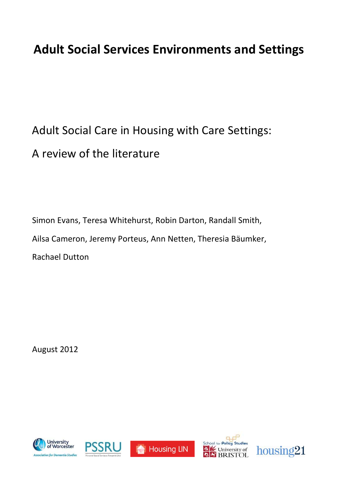# <span id="page-1-0"></span>**Adult Social Services Environments and Settings**

# Adult Social Care in Housing with Care Settings: A review of the literature

Simon Evans, Teresa Whitehurst, Robin Darton, Randall Smith, Ailsa Cameron, Jeremy Porteus, Ann Netten, Theresia Bäumker, Rachael Dutton

August 2012









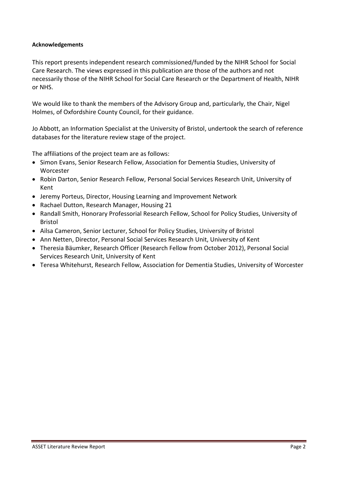#### **Acknowledgements**

This report presents independent research commissioned/funded by the NIHR School for Social Care Research. The views expressed in this publication are those of the authors and not necessarily those of the NIHR School for Social Care Research or the Department of Health, NIHR or NHS.

We would like to thank the members of the Advisory Group and, particularly, the Chair, Nigel Holmes, of Oxfordshire County Council, for their guidance.

Jo Abbott, an Information Specialist at the University of Bristol, undertook the search of reference databases for the literature review stage of the project.

The affiliations of the project team are as follows:

- Simon Evans, Senior Research Fellow, Association for Dementia Studies, University of Worcester
- Robin Darton, Senior Research Fellow, Personal Social Services Research Unit, University of Kent
- Jeremy Porteus, Director, Housing Learning and Improvement Network
- Rachael Dutton, Research Manager, Housing 21
- Randall Smith, Honorary Professorial Research Fellow, School for Policy Studies, University of Bristol
- Ailsa Cameron, Senior Lecturer, School for Policy Studies, University of Bristol
- Ann Netten, Director, Personal Social Services Research Unit, University of Kent
- Theresia Bäumker, Research Officer (Research Fellow from October 2012), Personal Social Services Research Unit, University of Kent
- Teresa Whitehurst, Research Fellow, Association for Dementia Studies, University of Worcester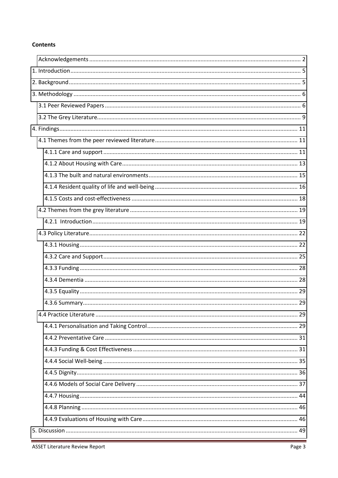#### **Contents**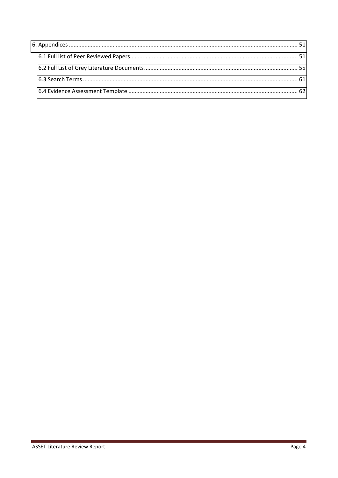<span id="page-4-1"></span><span id="page-4-0"></span>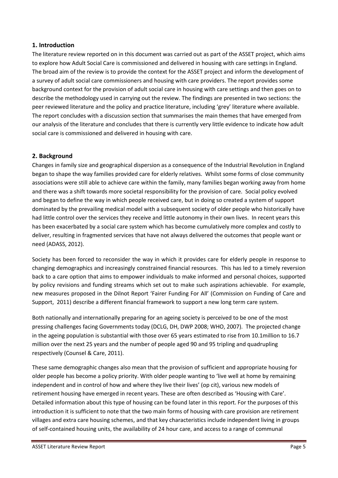## **1. Introduction**

<span id="page-5-0"></span>The literature review reported on in this document was carried out as part of the ASSET project, which aims to explore how Adult Social Care is commissioned and delivered in housing with care settings in England. The broad aim of the review is to provide the context for the ASSET project and inform the development of a survey of adult social care commissioners and housing with care providers. The report provides some background context for the provision of adult social care in housing with care settings and then goes on to describe the methodology used in carrying out the review. The findings are presented in two sections: the peer reviewed literature and the policy and practice literature, including 'grey' literature where available. The report concludes with a discussion section that summarises the main themes that have emerged from our analysis of the literature and concludes that there is currently very little evidence to indicate how adult social care is commissioned and delivered in housing with care.

## **2. Background**

<span id="page-5-1"></span>Changes in family size and geographical dispersion as a consequence of the Industrial Revolution in England began to shape the way families provided care for elderly relatives. Whilst some forms of close community associations were still able to achieve care within the family, many families began working away from home and there was a shift towards more societal responsibility for the provision of care. Social policy evolved and began to define the way in which people received care, but in doing so created a system of support dominated by the prevailing medical model with a subsequent society of older people who historically have had little control over the services they receive and little autonomy in their own lives. In recent years this has been exacerbated by a social care system which has become cumulatively more complex and costly to deliver, resulting in fragmented services that have not always delivered the outcomes that people want or need (ADASS, 2012).

Society has been forced to reconsider the way in which it provides care for elderly people in response to changing demographics and increasingly constrained financial resources. This has led to a timely reversion back to a care option that aims to empower individuals to make informed and personal choices, supported by policy revisions and funding streams which set out to make such aspirations achievable. For example, new measures proposed in the Dilnot Report 'Fairer Funding For All' (Commission on Funding of Care and Support, 2011) describe a different financial framework to support a new long term care system.

Both nationally and internationally preparing for an ageing society is perceived to be one of the most pressing challenges facing Governments today (DCLG, DH, DWP 2008; WHO, 2007). The projected change in the ageing population is substantial with those over 65 years estimated to rise from 10.1million to 16.7 million over the next 25 years and the number of people aged 90 and 95 tripling and quadrupling respectively (Counsel & Care, 2011).

These same demographic changes also mean that the provision of sufficient and appropriate housing for older people has become a policy priority. With older people wanting to 'live well at home by remaining independent and in control of how and where they live their lives' (op cit), various new models of retirement housing have emerged in recent years. These are often described as 'Housing with Care'. Detailed information about this type of housing can be found later in this report. For the purposes of this introduction it is sufficient to note that the two main forms of housing with care provision are retirement villages and extra care housing schemes, and that key characteristics include independent living in groups of self-contained housing units, the availability of 24 hour care, and access to a range of communal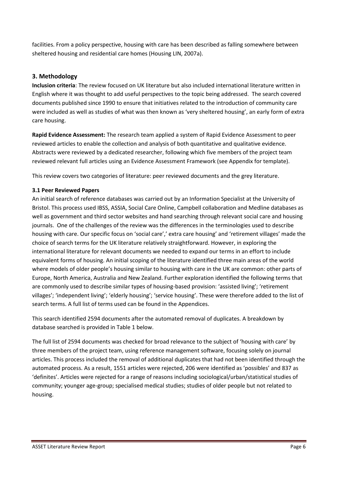facilities. From a policy perspective, housing with care has been described as falling somewhere between sheltered housing and residential care homes (Housing LIN, 2007a).

## **3. Methodology**

**Inclusion criteria**: The review focused on UK literature but also included international literature written in English where it was thought to add useful perspectives to the topic being addressed. The search covered documents published since 1990 to ensure that initiatives related to the introduction of community care were included as well as studies of what was then known as 'very sheltered housing', an early form of extra care housing.

**Rapid Evidence Assessment:** The research team applied a system of Rapid Evidence Assessment to peer reviewed articles to enable the collection and analysis of both quantitative and qualitative evidence. Abstracts were reviewed by a dedicated researcher, following which five members of the project team reviewed relevant full articles using an Evidence Assessment Framework (see Appendix for template).

This review covers two categories of literature: peer reviewed documents and the grey literature.

#### **3.1 Peer Reviewed Papers**

An initial search of reference databases was carried out by an Information Specialist at the University of Bristol. This process used IBSS, ASSIA, Social Care Online, Campbell collaboration and Medline databases as well as government and third sector websites and hand searching through relevant social care and housing journals. One of the challenges of the review was the differences in the terminologies used to describe housing with care. Our specific focus on 'social care',' extra care housing' and 'retirement villages' made the choice of search terms for the UK literature relatively straightforward. However, in exploring the international literature for relevant documents we needed to expand our terms in an effort to include equivalent forms of housing. An initial scoping of the literature identified three main areas of the world where models of older people's housing similar to housing with care in the UK are common: other parts of Europe, North America, Australia and New Zealand. Further exploration identified the following terms that are commonly used to describe similar types of housing-based provision: 'assisted living'; 'retirement villages'; 'independent living'; 'elderly housing'; 'service housing'. These were therefore added to the list of search terms. A full list of terms used can be found in the Appendices.

This search identified 2594 documents after the automated removal of duplicates. A breakdown by database searched is provided in Table 1 below.

The full list of 2594 documents was checked for broad relevance to the subject of 'housing with care' by three members of the project team, using reference management software, focusing solely on journal articles. This process included the removal of additional duplicates that had not been identified through the automated process. As a result, 1551 articles were rejected, 206 were identified as 'possibles' and 837 as 'definites'. Articles were rejected for a range of reasons including sociological/urban/statistical studies of community; younger age-group; specialised medical studies; studies of older people but not related to housing.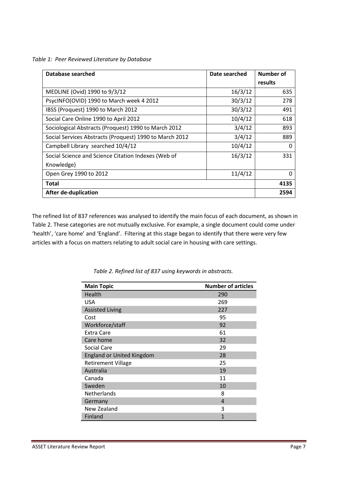*Table 1: Peer Reviewed Literature by Database* 

| Database searched                                       | Date searched | <b>Number of</b> |
|---------------------------------------------------------|---------------|------------------|
|                                                         |               | results          |
| MEDLINE (Ovid) 1990 to 9/3/12                           | 16/3/12       | 635              |
| PsycINFO(OVID) 1990 to March week 4 2012                | 30/3/12       | 278              |
| IBSS (Proquest) 1990 to March 2012                      | 30/3/12       | 491              |
| Social Care Online 1990 to April 2012                   | 10/4/12       | 618              |
| Sociological Abstracts (Proquest) 1990 to March 2012    | 3/4/12        | 893              |
| Social Services Abstracts (Proquest) 1990 to March 2012 | 3/4/12        | 889              |
| Campbell Library searched 10/4/12                       | 10/4/12       | 0                |
| Social Science and Science Citation Indexes (Web of     | 16/3/12       | 331              |
| Knowledge)                                              |               |                  |
| Open Grey 1990 to 2012                                  | 11/4/12       | 0                |
| <b>Total</b>                                            |               | 4135             |
| <b>After de-duplication</b>                             |               | 2594             |

The refined list of 837 references was analysed to identify the main focus of each document, as shown in Table 2. These categories are not mutually exclusive. For example, a single document could come under 'health', 'care home' and 'England'. Filtering at this stage began to identify that there were very few articles with a focus on matters relating to adult social care in housing with care settings.

| <b>Main Topic</b>                | <b>Number of articles</b> |
|----------------------------------|---------------------------|
| Health                           | 290                       |
| <b>USA</b>                       | 269                       |
| <b>Assisted Living</b>           | 227                       |
| Cost                             | 95                        |
| Workforce/staff                  | 92                        |
| Extra Care                       | 61                        |
| Care home                        | 32                        |
| Social Care                      | 29                        |
| <b>England or United Kingdom</b> | 28                        |
| <b>Retirement Village</b>        | 25                        |
| Australia                        | 19                        |
| Canada                           | 11                        |
| Sweden                           | 10                        |
| Netherlands                      | 8                         |
| Germany                          | 4                         |
| New Zealand                      | 3                         |
| Finland                          | $\mathbf{1}$              |

*Table 2. Refined list of 837 using keywords in abstracts.*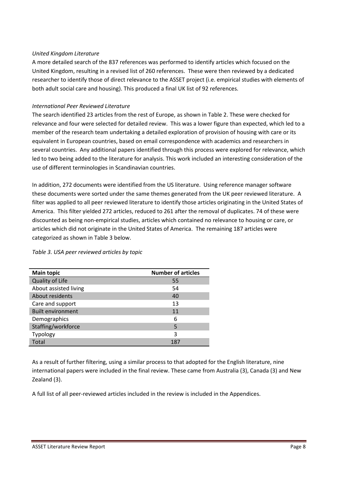#### <span id="page-8-0"></span>*United Kingdom Literature*

A more detailed search of the 837 references was performed to identify articles which focused on the United Kingdom, resulting in a revised list of 260 references. These were then reviewed by a dedicated researcher to identify those of direct relevance to the ASSET project (i.e. empirical studies with elements of both adult social care and housing). This produced a final UK list of 92 references.

#### *International Peer Reviewed Literature*

The search identified 23 articles from the rest of Europe, as shown in Table 2. These were checked for relevance and four were selected for detailed review. This was a lower figure than expected, which led to a member of the research team undertaking a detailed exploration of provision of housing with care or its equivalent in European countries, based on email correspondence with academics and researchers in several countries. Any additional papers identified through this process were explored for relevance, which led to two being added to the literature for analysis. This work included an interesting consideration of the use of different terminologies in Scandinavian countries.

In addition, 272 documents were identified from the US literature. Using reference manager software these documents were sorted under the same themes generated from the UK peer reviewed literature. A filter was applied to all peer reviewed literature to identify those articles originating in the United States of America. This filter yielded 272 articles, reduced to 261 after the removal of duplicates. 74 of these were discounted as being non-empirical studies, articles which contained no relevance to housing or care, or articles which did not originate in the United States of America. The remaining 187 articles were categorized as shown in Table 3 below.

| <b>Main topic</b>        | <b>Number of articles</b> |
|--------------------------|---------------------------|
| Quality of Life          | 55                        |
| About assisted living    | 54                        |
| About residents          | 40                        |
| Care and support         | 13                        |
| <b>Built environment</b> | 11                        |
| Demographics             | 6                         |
| Staffing/workforce       | 5                         |
| Typology                 | 3                         |
| Total                    | 187                       |

*Table 3. USA peer reviewed articles by topic* 

As a result of further filtering, using a similar process to that adopted for the English literature, nine international papers were included in the final review. These came from Australia (3), Canada (3) and New Zealand (3).

A full list of all peer-reviewed articles included in the review is included in the Appendices.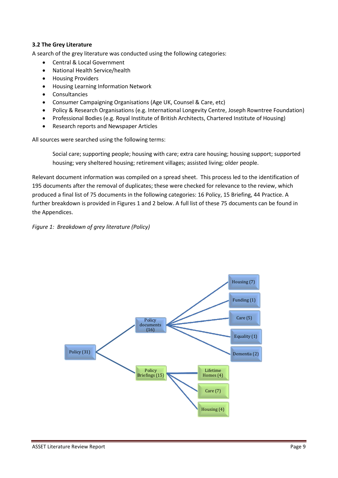#### **3.2 The Grey Literature**

A search of the grey literature was conducted using the following categories:

- Central & Local Government
- National Health Service/health
- **•** Housing Providers
- Housing Learning Information Network
- Consultancies
- Consumer Campaigning Organisations (Age UK, Counsel & Care, etc)
- Policy & Research Organisations (e.g. International Longevity Centre, Joseph Rowntree Foundation)
- Professional Bodies (e.g. Royal Institute of British Architects, Chartered Institute of Housing)
- Research reports and Newspaper Articles

All sources were searched using the following terms:

Social care; supporting people; housing with care; extra care housing; housing support; supported housing; very sheltered housing; retirement villages; assisted living; older people.

Relevant document information was compiled on a spread sheet. This process led to the identification of 195 documents after the removal of duplicates; these were checked for relevance to the review, which produced a final list of 75 documents in the following categories: 16 Policy, 15 Briefing, 44 Practice. A further breakdown is provided in Figures 1 and 2 below. A full list of these 75 documents can be found in the Appendices.

#### *Figure 1: Breakdown of grey literature (Policy)*

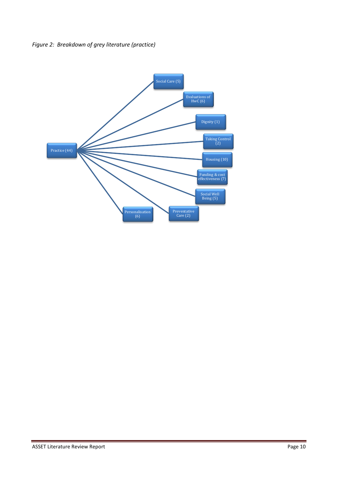<span id="page-10-1"></span><span id="page-10-0"></span>

<span id="page-10-2"></span>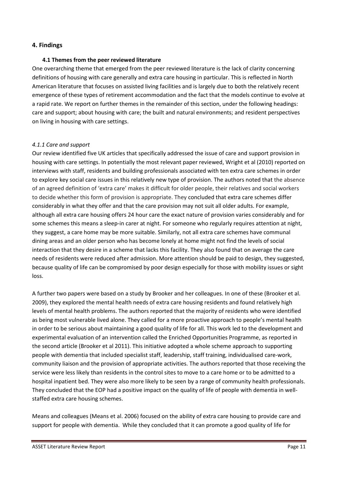#### **4. Findings**

#### **4.1 Themes from the peer reviewed literature**

One overarching theme that emerged from the peer reviewed literature is the lack of clarity concerning definitions of housing with care generally and extra care housing in particular. This is reflected in North American literature that focuses on assisted living facilities and is largely due to both the relatively recent emergence of these types of retirement accommodation and the fact that the models continue to evolve at a rapid rate. We report on further themes in the remainder of this section, under the following headings: care and support; about housing with care; the built and natural environments; and resident perspectives on living in housing with care settings.

#### *4.1.1 Care and support*

Our review identified five UK articles that specifically addressed the issue of care and support provision in housing with care settings. In potentially the most relevant paper reviewed, Wright et al (2010) reported on interviews with staff, residents and building professionals associated with ten extra care schemes in order to explore key social care issues in this relatively new type of provision. The authors noted that the absence of an agreed definition of 'extra care' makes it difficult for older people, their relatives and social workers to decide whether this form of provision is appropriate. They concluded that extra care schemes differ considerably in what they offer and that the care provision may not suit all older adults. For example, although all extra care housing offers 24 hour care the exact nature of provision varies considerably and for some schemes this means a sleep-in carer at night. For someone who regularly requires attention at night, they suggest, a care home may be more suitable. Similarly, not all extra care schemes have communal dining areas and an older person who has become lonely at home might not find the levels of social interaction that they desire in a scheme that lacks this facility. They also found that on average the care needs of residents were reduced after admission. More attention should be paid to design, they suggested, because quality of life can be compromised by poor design especially for those with mobility issues or sight loss.

A further two papers were based on a study by Brooker and her colleagues. In one of these (Brooker et al. 2009), they explored the mental health needs of extra care housing residents and found relatively high levels of mental health problems. The authors reported that the majority of residents who were identified as being most vulnerable lived alone. They called for a more proactive approach to people's mental health in order to be serious about maintaining a good quality of life for all. This work led to the development and experimental evaluation of an intervention called the Enriched Opportunities Programme, as reported in the second article (Brooker et al 2011). This initiative adopted a whole scheme approach to supporting people with dementia that included specialist staff, leadership, staff training, individualised care-work, community liaison and the provision of appropriate activities. The authors reported that those receiving the service were less likely than residents in the control sites to move to a care home or to be admitted to a hospital inpatient bed. They were also more likely to be seen by a range of community health professionals. They concluded that the EOP had a positive impact on the quality of life of people with dementia in wellstaffed extra care housing schemes.

Means and colleagues (Means et al. 2006) focused on the ability of extra care housing to provide care and support for people with dementia. While they concluded that it can promote a good quality of life for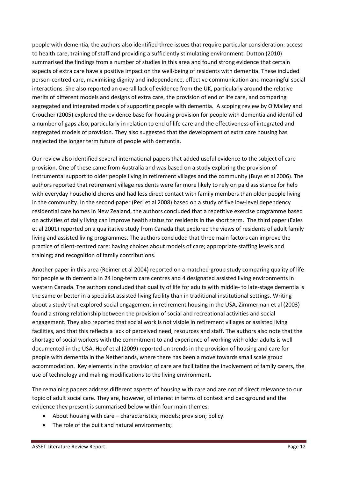<span id="page-12-0"></span>people with dementia, the authors also identified three issues that require particular consideration: access to health care, training of staff and providing a sufficiently stimulating environment. Dutton (2010) summarised the findings from a number of studies in this area and found strong evidence that certain aspects of extra care have a positive impact on the well-being of residents with dementia. These included person-centred care, maximising dignity and independence, effective communication and meaningful social interactions. She also reported an overall lack of evidence from the UK, particularly around the relative merits of different models and designs of extra care, the provision of end of life care, and comparing segregated and integrated models of supporting people with dementia. A scoping review by O'Malley and Croucher (2005) explored the evidence base for housing provision for people with dementia and identified a number of gaps also, particularly in relation to end of life care and the effectiveness of integrated and segregated models of provision. They also suggested that the development of extra care housing has neglected the longer term future of people with dementia.

Our review also identified several international papers that added useful evidence to the subject of care provision. One of these came from Australia and was based on a study exploring the provision of instrumental support to older people living in retirement villages and the community (Buys et al 2006). The authors reported that retirement village residents were far more likely to rely on paid assistance for help with everyday household chores and had less direct contact with family members than older people living in the community. In the second paper (Peri et al 2008) based on a study of five low-level dependency residential care homes in New Zealand, the authors concluded that a repetitive exercise programme based on activities of daily living can improve health status for residents in the short term. The third paper (Eales et al 2001) reported on a qualitative study from Canada that explored the views of residents of adult family living and assisted living programmes. The authors concluded that three main factors can improve the practice of client-centred care: having choices about models of care; appropriate staffing levels and training; and recognition of family contributions.

Another paper in this area (Reimer et al 2004) reported on a matched-group study comparing quality of life for people with dementia in 24 long-term care centres and 4 designated assisted living environments in western Canada. The authors concluded that quality of life for adults with middle- to late-stage dementia is the same or better in a specialist assisted living facility than in traditional institutional settings. Writing about a study that explored social engagement in retirement housing in the USA, Zimmerman et al (2003) found a strong relationship between the provision of social and recreational activities and social engagement. They also reported that social work is not visible in retirement villages or assisted living facilities, and that this reflects a lack of perceived need, resources and staff. The authors also note that the shortage of social workers with the commitment to and experience of working with older adults is well documented in the USA. Hoof et al (2009) reported on trends in the provision of housing and care for people with dementia in the Netherlands, where there has been a move towards small scale group accommodation. Key elements in the provision of care are facilitating the involvement of family carers, the use of technology and making modifications to the living environment.

The remaining papers address different aspects of housing with care and are not of direct relevance to our topic of adult social care. They are, however, of interest in terms of context and background and the evidence they present is summarised below within four main themes:

- About housing with care characteristics; models; provision; policy.
- The role of the built and natural environments;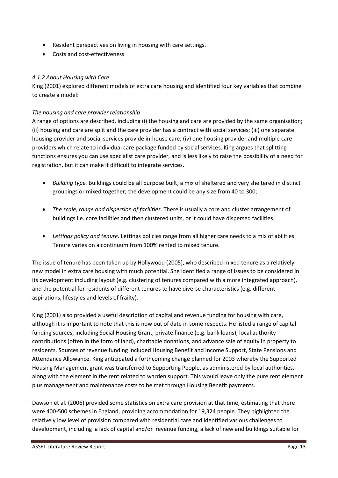- Resident perspectives on living in housing with care settings.
- Costs and cost-effectiveness

## *4.1.2 About Housing with Care*

King (2001) explored different models of extra care housing and identified four key variables that combine to create a model:

## *The housing and care provider relationship*

A range of options are described, including (i) the housing and care are provided by the same organisation; (ii) housing and care are split and the care provider has a contract with social services; (iii) one separate housing provider and social services provide in-house care; (iv) one housing provider and multiple care providers which relate to individual care package funded by social services. King argues that splitting functions ensures you can use specialist care provider, and is less likely to raise the possibility of a need for registration, but it can make it difficult to integrate services.

- *Building type.* Buildings could be all purpose built, a mix of sheltered and very sheltered in distinct groupings or mixed together; the development could be any size from 40 to 300;
- *The scale, range and dispersion of facilities*. There is usually a core and cluster arrangement of buildings i.e. core facilities and then clustered units, or it could have dispersed facilities.
- *Lettings policy and tenure.* Lettings policies range from all higher care needs to a mix of abilities. Tenure varies on a continuum from 100% rented to mixed tenure.

The issue of tenure has been taken up by Hollywood (2005), who described mixed tenure as a relatively new model in extra care housing with much potential. She identified a range of issues to be considered in its development including layout (e.g. clustering of tenures compared with a more integrated approach), and the potential for residents of different tenures to have diverse characteristics (e.g. different aspirations, lifestyles and levels of frailty).

King (2001) also provided a useful description of capital and revenue funding for housing with care, although it is important to note that this is now out of date in some respects. He listed a range of capital funding sources, including Social Housing Grant, private finance (e.g. bank loans), local authority contributions (often in the form of land), charitable donations, and advance sale of equity in property to residents. Sources of revenue funding included Housing Benefit and Income Support, State Pensions and Attendance Allowance. King anticipated a forthcoming change planned for 2003 whereby the Supported Housing Management grant was transferred to Supporting People, as administered by local authorities, along with the element in the rent related to warden support. This would leave only the pure rent element plus management and maintenance costs to be met through Housing Benefit payments.

Dawson et al. (2006) provided some statistics on extra care provision at that time, estimating that there were 400-500 schemes in England, providing accommodation for 19,324 people. They highlighted the relatively low level of provision compared with residential care and identified various challenges to development, including a lack of capital and/or revenue funding, a lack of new and buildings suitable for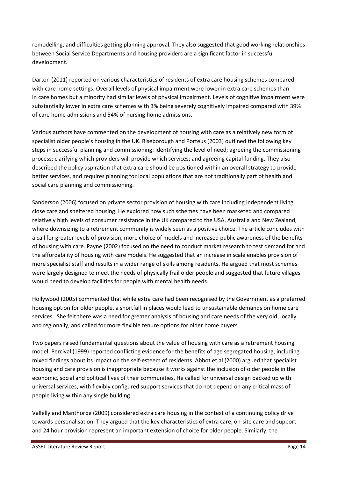remodelling, and difficulties getting planning approval. They also suggested that good working relationships between Social Service Departments and housing providers are a significant factor in successful development.

Darton (2011) reported on various characteristics of residents of extra care housing schemes compared with care home settings. Overall levels of physical impairment were lower in extra care schemes than in care homes but a minority had similar levels of physical impairment. Levels of cognitive impairment were substantially lower in extra care schemes with 3% being severely cognitively impaired compared with 39% of care home admissions and 54% of nursing home admissions.

Various authors have commented on the development of housing with care as a relatively new form of specialist older people's housing in the UK. Riseborough and Porteus (2003) outlined the following key steps in successful planning and commissioning: Identifying the level of need; agreeing the commissioning process; clarifying which providers will provide which services; and agreeing capital funding. They also described the policy aspiration that extra care should be positioned within an overall strategy to provide better services, and requires planning for local populations that are not traditionally part of health and social care planning and commissioning.

Sanderson (2006) focused on private sector provision of housing with care including independent living, close care and sheltered housing. He explored how such schemes have been marketed and compared relatively high levels of consumer resistance in the UK compared to the USA, Australia and New Zealand, where downsizing to a retirement community is widely seen as a positive choice. The article concludes with a call for greater levels of provision, more choice of models and increased public awareness of the benefits of housing with care. Payne (2002) focused on the need to conduct market research to test demand for and the affordability of housing with care models. He suggested that an increase in scale enables provision of more specialist staff and results in a wider range of skills among residents. He argued that most schemes were largely designed to meet the needs of physically frail older people and suggested that future villages would need to develop facilities for people with mental health needs.

<span id="page-14-0"></span>Hollywood (2005) commented that while extra care had been recognised by the Government as a preferred housing option for older people, a shortfall in places would lead to unsustainable demands on home care services. She felt there was a need for greater analysis of housing and care needs of the very old, locally and regionally, and called for more flexible tenure options for older home buyers.

Two papers raised fundamental questions about the value of housing with care as a retirement housing model. Percival (1999) reported conflicting evidence for the benefits of age segregated housing, including mixed findings about its impact on the self-esteem of residents. Abbot et al (2000) argued that specialist housing and care provision is inappropriate because it works against the inclusion of older people in the economic, social and political lives of their communities. He called for universal design backed up with universal services, with flexibly configured support services that do not depend on any critical mass of people living within any single building.

Vallelly and Manthorpe (2009) considered extra care housing in the context of a continuing policy drive towards personalisation. They argued that the key characteristics of extra care, on-site care and support and 24 hour provision represent an important extension of choice for older people. Similarly, the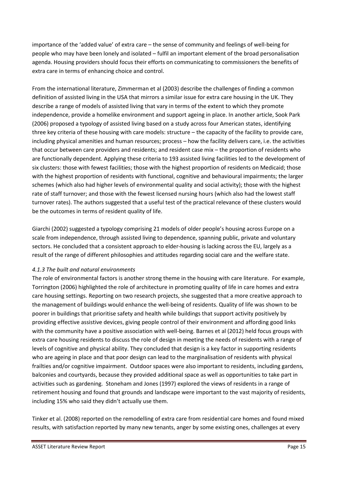importance of the 'added value' of extra care – the sense of community and feelings of well-being for people who may have been lonely and isolated – fulfil an important element of the broad personalisation agenda. Housing providers should focus their efforts on communicating to commissioners the benefits of extra care in terms of enhancing choice and control.

From the international literature, Zimmerman et al (2003) describe the challenges of finding a common definition of assisted living in the USA that mirrors a similar issue for extra care housing in the UK. They describe a range of models of assisted living that vary in terms of the extent to which they promote independence, provide a homelike environment and support ageing in place. In another article, Sook Park (2006) proposed a typology of assisted living based on a study across four American states, identifying three key criteria of these housing with care models: structure – the capacity of the facility to provide care, including physical amenities and human resources; process – how the facility delivers care, i.e. the activities that occur between care providers and residents; and resident case mix - the proportion of residents who are functionally dependent. Applying these criteria to 193 assisted living facilities led to the development of six clusters: those with fewest facilities; those with the highest proportion of residents on Medicaid; those with the highest proportion of residents with functional, cognitive and behavioural impairments; the larger schemes (which also had higher levels of environmental quality and social activity); those with the highest rate of staff turnover; and those with the fewest licensed nursing hours (which also had the lowest staff turnover rates). The authors suggested that a useful test of the practical relevance of these clusters would be the outcomes in terms of resident quality of life.

Giarchi (2002) suggested a typology comprising 21 models of older people's housing across Europe on a scale from independence, through assisted living to dependence, spanning public, private and voluntary sectors. He concluded that a consistent approach to elder-housing is lacking across the EU, largely as a result of the range of different philosophies and attitudes regarding social care and the welfare state.

#### *4.1.3 The built and natural environments*

The role of environmental factors is another strong theme in the housing with care literature. For example, Torrington (2006) highlighted the role of architecture in promoting quality of life in care homes and extra care housing settings. Reporting on two research projects, she suggested that a more creative approach to the management of buildings would enhance the well-being of residents. Quality of life was shown to be poorer in buildings that prioritise safety and health while buildings that support activity positively by providing effective assistive devices, giving people control of their environment and affording good links with the community have a positive association with well-being. Barnes et al (2012) held focus groups with extra care housing residents to discuss the role of design in meeting the needs of residents with a range of levels of cognitive and physical ability. They concluded that design is a key factor in supporting residents who are ageing in place and that poor design can lead to the marginalisation of residents with physical frailties and/or cognitive impairment. Outdoor spaces were also important to residents, including gardens, balconies and courtyards, because they provided additional space as well as opportunities to take part in activities such as gardening. Stoneham and Jones (1997) explored the views of residents in a range of retirement housing and found that grounds and landscape were important to the vast majority of residents, including 15% who said they didn't actually use them.

<span id="page-15-0"></span>Tinker et al. (2008) reported on the remodelling of extra care from residential care homes and found mixed results, with satisfaction reported by many new tenants, anger by some existing ones, challenges at every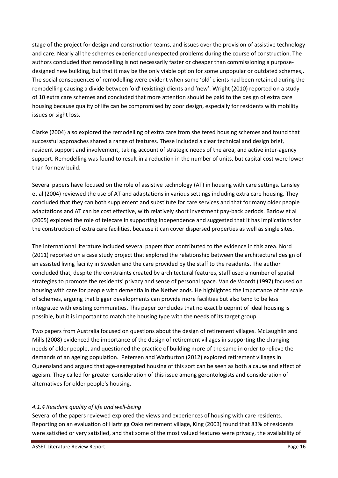stage of the project for design and construction teams, and issues over the provision of assistive technology and care. Nearly all the schemes experienced unexpected problems during the course of construction. The authors concluded that remodelling is not necessarily faster or cheaper than commissioning a purposedesigned new building, but that it may be the only viable option for some unpopular or outdated schemes,. The social consequences of remodelling were evident when some 'old' clients had been retained during the remodelling causing a divide between 'old' (existing) clients and 'new'. Wright (2010) reported on a study of 10 extra care schemes and concluded that more attention should be paid to the design of extra care housing because quality of life can be compromised by poor design, especially for residents with mobility issues or sight loss.

Clarke (2004) also explored the remodelling of extra care from sheltered housing schemes and found that successful approaches shared a range of features. These included a clear technical and design brief, resident support and involvement, taking account of strategic needs of the area, and active inter-agency support. Remodelling was found to result in a reduction in the number of units, but capital cost were lower than for new build.

Several papers have focused on the role of assistive technology (AT) in housing with care settings. Lansley et al (2004) reviewed the use of AT and adaptations in various settings including extra care housing. They concluded that they can both supplement and substitute for care services and that for many older people adaptations and AT can be cost effective, with relatively short investment pay-back periods. Barlow et al (2005) explored the role of telecare in supporting independence and suggested that it has implications for the construction of extra care facilities, because it can cover dispersed properties as well as single sites.

The international literature included several papers that contributed to the evidence in this area. Nord (2011) reported on a case study project that explored the relationship between the architectural design of an assisted living facility in Sweden and the care provided by the staff to the residents. The author concluded that, despite the constraints created by architectural features, staff used a number of spatial strategies to promote the residents' privacy and sense of personal space. Van de Voordt (1997) focused on housing with care for people with dementia in the Netherlands. He highlighted the importance of the scale of schemes, arguing that bigger developments can provide more facilities but also tend to be less integrated with existing communities. This paper concludes that no exact blueprint of ideal housing is possible, but it is important to match the housing type with the needs of its target group.

Two papers from Australia focused on questions about the design of retirement villages. McLaughlin and Mills (2008) evidenced the importance of the design of retirement villages in supporting the changing needs of older people, and questioned the practice of building more of the same in order to relieve the demands of an ageing population. Petersen and Warburton (2012) explored retirement villages in Queensland and argued that age-segregated housing of this sort can be seen as both a cause and effect of ageism. They called for greater consideration of this issue among gerontologists and consideration of alternatives for older people's housing.

#### *4.1.4 Resident quality of life and well-being*

Several of the papers reviewed explored the views and experiences of housing with care residents. Reporting on an evaluation of Hartrigg Oaks retirement village, King (2003) found that 83% of residents were satisfied or very satisfied, and that some of the most valued features were privacy, the availability of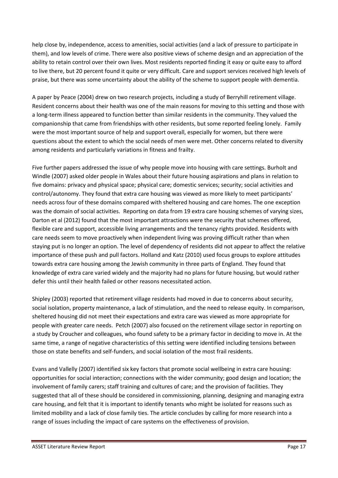help close by, independence, access to amenities, social activities (and a lack of pressure to participate in them), and low levels of crime. There were also positive views of scheme design and an appreciation of the ability to retain control over their own lives. Most residents reported finding it easy or quite easy to afford to live there, but 20 percent found it quite or very difficult. Care and support services received high levels of praise, but there was some uncertainty about the ability of the scheme to support people with dementia.

A paper by Peace (2004) drew on two research projects, including a study of Berryhill retirement village. Resident concerns about their health was one of the main reasons for moving to this setting and those with a long-term illness appeared to function better than similar residents in the community. They valued the companionship that came from friendships with other residents, but some reported feeling lonely. Family were the most important source of help and support overall, especially for women, but there were questions about the extent to which the social needs of men were met. Other concerns related to diversity among residents and particularly variations in fitness and frailty.

Five further papers addressed the issue of why people move into housing with care settings. Burholt and Windle (2007) asked older people in Wales about their future housing aspirations and plans in relation to five domains: privacy and physical space; physical care; domestic services; security; social activities and control/autonomy. They found that extra care housing was viewed as more likely to meet participants' needs across four of these domains compared with sheltered housing and care homes. The one exception was the domain of social activities. Reporting on data from 19 extra care housing schemes of varying sizes, Darton et al (2012) found that the most important attractions were the security that schemes offered, flexible care and support, accessible living arrangements and the tenancy rights provided. Residents with care needs seem to move proactively when independent living was proving difficult rather than when staying put is no longer an option. The level of dependency of residents did not appear to affect the relative importance of these push and pull factors. Holland and Katz (2010) used focus groups to explore attitudes towards extra care housing among the Jewish community in three parts of England. They found that knowledge of extra care varied widely and the majority had no plans for future housing, but would rather defer this until their health failed or other reasons necessitated action.

<span id="page-17-0"></span>Shipley (2003) reported that retirement village residents had moved in due to concerns about security, social isolation, property maintenance, a lack of stimulation, and the need to release equity. In comparison, sheltered housing did not meet their expectations and extra care was viewed as more appropriate for people with greater care needs. Petch (2007) also focused on the retirement village sector in reporting on a study by Croucher and colleagues, who found safety to be a primary factor in deciding to move in. At the same time, a range of negative characteristics of this setting were identified including tensions between those on state benefits and self-funders, and social isolation of the most frail residents.

Evans and Vallelly (2007) identified six key factors that promote social wellbeing in extra care housing: opportunities for social interaction; connections with the wider community; good design and location; the involvement of family carers; staff training and cultures of care; and the provision of facilities. They suggested that all of these should be considered in commissioning, planning, designing and managing extra care housing, and felt that it is important to identify tenants who might be isolated for reasons such as limited mobility and a lack of close family ties. The article concludes by calling for more research into a range of issues including the impact of care systems on the effectiveness of provision.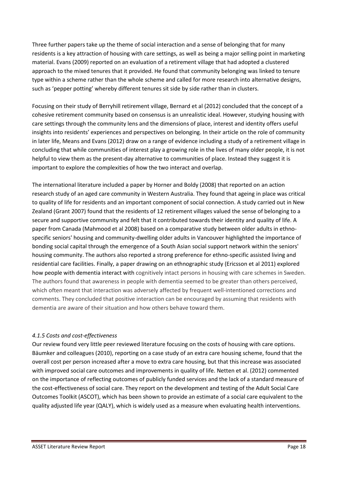<span id="page-18-1"></span><span id="page-18-0"></span>Three further papers take up the theme of social interaction and a sense of belonging that for many residents is a key attraction of housing with care settings, as well as being a major selling point in marketing material. Evans (2009) reported on an evaluation of a retirement village that had adopted a clustered approach to the mixed tenures that it provided. He found that community belonging was linked to tenure type within a scheme rather than the whole scheme and called for more research into alternative designs, such as 'pepper potting' whereby different tenures sit side by side rather than in clusters.

Focusing on their study of Berryhill retirement village, Bernard et al (2012) concluded that the concept of a cohesive retirement community based on consensus is an unrealistic ideal. However, studying housing with care settings through the community lens and the dimensions of place, interest and identity offers useful insights into residents' experiences and perspectives on belonging. In their article on the role of community in later life, Means and Evans (2012) draw on a range of evidence including a study of a retirement village in concluding that while communities of interest play a growing role in the lives of many older people, it is not helpful to view them as the present-day alternative to communities of place. Instead they suggest it is important to explore the complexities of how the two interact and overlap.

The international literature included a paper by Horner and Boldy (2008) that reported on an action research study of an aged care community in Western Australia. They found that ageing in place was critical to quality of life for residents and an important component of social connection. A study carried out in New Zealand (Grant 2007) found that the residents of 12 retirement villages valued the sense of belonging to a secure and supportive community and felt that it contributed towards their identity and quality of life. A paper from Canada (Mahmood et al 2008) based on a comparative study between older adults in ethnospecific seniors' housing and community-dwelling older adults in Vancouver highlighted the importance of bonding social capital through the emergence of a South Asian social support network within the seniors' housing community. The authors also reported a strong preference for ethno-specific assisted living and residential care facilities. Finally, a paper drawing on an ethnographic study (Ericsson et al 2011) explored how people with dementia interact with cognitively intact persons in housing with care schemes in Sweden. The authors found that awareness in people with dementia seemed to be greater than others perceived, which often meant that interaction was adversely affected by frequent well-intentioned corrections and comments. They concluded that positive interaction can be encouraged by assuming that residents with dementia are aware of their situation and how others behave toward them.

#### *4.1.5 Costs and cost-effectiveness*

Our review found very little peer reviewed literature focusing on the costs of housing with care options. Bäumker and colleagues (2010), reporting on a case study of an extra care housing scheme, found that the overall cost per person increased after a move to extra care housing, but that this increase was associated with improved social care outcomes and improvements in quality of life. Netten et al. (2012) commented on the importance of reflecting outcomes of publicly funded services and the lack of a standard measure of the cost-effectiveness of social care. They report on the development and testing of the Adult Social Care Outcomes Toolkit (ASCOT), which has been shown to provide an estimate of a social care equivalent to the quality adjusted life year (QALY), which is widely used as a measure when evaluating health interventions.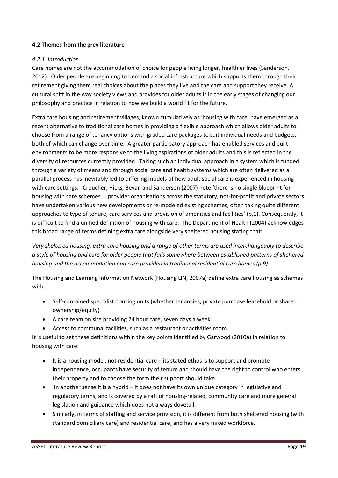#### **4.2 Themes from the grey literature**

#### *4.2.1 Introduction*

Care homes are not the accommodation of choice for people living longer, healthier lives (Sanderson, 2012). Older people are beginning to demand a social infrastructure which supports them through their retirement giving them real choices about the places they live and the care and support they receive. A cultural shift in the way society views and provides for older adults is in the early stages of changing our philosophy and practice in relation to how we build a world fit for the future.

Extra care housing and retirement villages, known cumulatively as 'housing with care' have emerged as a recent alternative to traditional care homes in providing a flexible approach which allows older adults to choose from a range of tenancy options with graded care packages to suit individual needs and budgets, both of which can change over time. A greater participatory approach has enabled services and built environments to be more responsive to the living aspirations of older adults and this is reflected in the diversity of resources currently provided. Taking such an individual approach in a system which is funded through a variety of means and through social care and health systems which are often delivered as a parallel process has inevitably led to differing models of how adult social care is experienced in housing with care settings. Croucher, Hicks, Bevan and Sanderson (2007) note 'there is no single blueprint for housing with care schemes.....provider organisations across the statutory, not-for-profit and private sectors have undertaken various new developments or re-modeled existing schemes, often taking quite different approaches to type of tenure, care services and provision of amenities and facilities' (p,1). Consequently, it is difficult to find a unified definition of housing with care. The Department of Health (2004) acknowledges this broad range of terms defining extra care alongside very sheltered housing stating that:

*Very sheltered housing, extra care housing and a range of other terms are used interchangeably to describe a style of housing and care for older people that falls somewhere between established patterns of sheltered housing and the accommodation and care provided in traditional residential care homes (p 9)* 

The Housing and Learning Information Network (Housing LIN, 2007a) define extra care housing as schemes with:

- Self-contained specialist housing units (whether tenancies, private purchase leasehold or shared ownership/equity)
- A care team on site providing 24 hour care, seven days a week
- Access to communal facilities, such as a restaurant or activities room.

It is useful to set these definitions within the key points identified by Garwood (2010a) in relation to housing with care:

- It is a housing model, not residential care its stated ethos is to support and promote independence, occupants have security of tenure and should have the right to control who enters their property and to choose the form their support should take.
- In another sense it is a hybrid it does not have its own unique category in legislative and regulatory terms, and is covered by a raft of housing-related, community care and more general legislation and guidance which does not always dovetail.
- Similarly, in terms of staffing and service provision, it is different from both sheltered housing (with standard domiciliary care) and residential care, and has a very mixed workforce.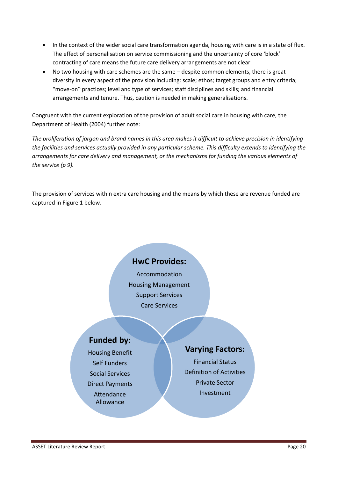- In the context of the wider social care transformation agenda, housing with care is in a state of flux. The effect of personalisation on service commissioning and the uncertainty of core 'block' contracting of care means the future care delivery arrangements are not clear.
- No two housing with care schemes are the same despite common elements, there is great diversity in every aspect of the provision including: scale; ethos; target groups and entry criteria; "move-on" practices; level and type of services; staff disciplines and skills; and financial arrangements and tenure. Thus, caution is needed in making generalisations.

Congruent with the current exploration of the provision of adult social care in housing with care, the Department of Health (2004) further note:

*The proliferation of jargon and brand names in this area makes it difficult to achieve precision in identifying the facilities and services actually provided in any particular scheme. This difficulty extends to identifying the arrangements for care delivery and management, or the mechanisms for funding the various elements of the service (p 9).* 

The provision of services within extra care housing and the means by which these are revenue funded are captured in Figure 1 below.

# **HwC Provides:**

Accommodation Housing Management Support Services Care Services

# **Funded by:**

Housing Benefit Self Funders Social Services Direct Payments Attendance Allowance

# **Varying Factors:**

Financial Status Definition of Activities Private Sector Investment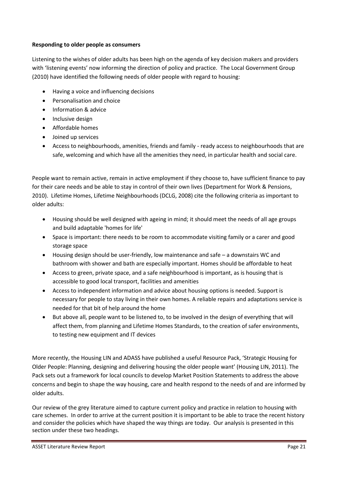#### **Responding to older people as consumers**

Listening to the wishes of older adults has been high on the agenda of key decision makers and providers with 'listening events' now informing the direction of policy and practice. The Local Government Group (2010) have identified the following needs of older people with regard to housing:

- Having a voice and influencing decisions
- Personalisation and choice
- Information & advice
- Inclusive design
- Affordable homes
- Joined up services
- Access to neighbourhoods, amenities, friends and family ready access to neighbourhoods that are safe, welcoming and which have all the amenities they need, in particular health and social care.

People want to remain active, remain in active employment if they choose to, have sufficient finance to pay for their care needs and be able to stay in control of their own lives (Department for Work & Pensions, 2010). Lifetime Homes, Lifetime Neighbourhoods (DCLG, 2008) cite the following criteria as important to older adults:

- <span id="page-21-0"></span> Housing should be well designed with ageing in mind; it should meet the needs of all age groups and build adaptable 'homes for life'
- Space is important: there needs to be room to accommodate visiting family or a carer and good storage space
- Housing design should be user-friendly, low maintenance and safe a downstairs WC and bathroom with shower and bath are especially important. Homes should be affordable to heat
- Access to green, private space, and a safe neighbourhood is important, as is housing that is accessible to good local transport, facilities and amenities
- Access to independent information and advice about housing options is needed. Support is necessary for people to stay living in their own homes. A reliable repairs and adaptations service is needed for that bit of help around the home
- <span id="page-21-1"></span> But above all, people want to be listened to, to be involved in the design of everything that will affect them, from planning and Lifetime Homes Standards, to the creation of safer environments, to testing new equipment and IT devices

More recently, the Housing LIN and ADASS have published a useful Resource Pack, 'Strategic Housing for Older People: Planning, designing and delivering housing the older people want' (Housing LIN, 2011). The Pack sets out a framework for local councils to develop Market Position Statements to address the above concerns and begin to shape the way housing, care and health respond to the needs of and are informed by older adults.

Our review of the grey literature aimed to capture current policy and practice in relation to housing with care schemes. In order to arrive at the current position it is important to be able to trace the recent history and consider the policies which have shaped the way things are today. Our analysis is presented in this section under these two headings.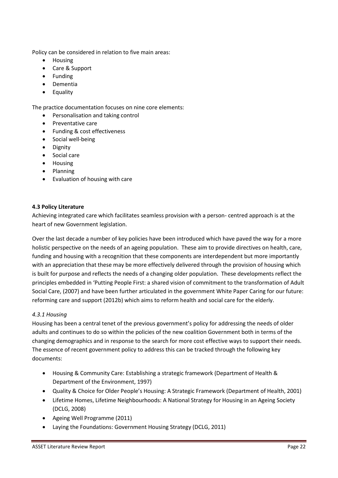Policy can be considered in relation to five main areas:

- Housing
- Care & Support
- Funding
- Dementia
- Equality

The practice documentation focuses on nine core elements:

- Personalisation and taking control
- Preventative care
- Funding & cost effectiveness
- Social well-being
- Dignity
- Social care
- Housing
- Planning
- Evaluation of housing with care

#### **4.3 Policy Literature**

Achieving integrated care which facilitates seamless provision with a person- centred approach is at the heart of new Government legislation.

Over the last decade a number of key policies have been introduced which have paved the way for a more holistic perspective on the needs of an ageing population. These aim to provide directives on health, care, funding and housing with a recognition that these components are interdependent but more importantly with an appreciation that these may be more effectively delivered through the provision of housing which is built for purpose and reflects the needs of a changing older population. These developments reflect the principles embedded in 'Putting People First: a shared vision of commitment to the transformation of Adult Social Care, (2007) and have been further articulated in the government White Paper Caring for our future: reforming care and support (2012b) which aims to reform health and social care for the elderly.

#### *4.3.1 Housing*

Housing has been a central tenet of the previous government's policy for addressing the needs of older adults and continues to do so within the policies of the new coalition Government both in terms of the changing demographics and in response to the search for more cost effective ways to support their needs. The essence of recent government policy to address this can be tracked through the following key documents:

- Housing & Community Care: Establishing a strategic framework (Department of Health & Department of the Environment, 1997)
- Quality & Choice for Older People's Housing: A Strategic Framework (Department of Health, 2001)
- Lifetime Homes, Lifetime Neighbourhoods: A National Strategy for Housing in an Ageing Society (DCLG, 2008)
- Ageing Well Programme (2011)
- Laying the Foundations: Government Housing Strategy (DCLG, 2011)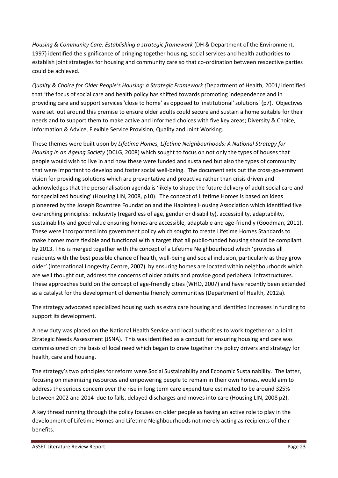*Housing & Community Care: Establishing a strategic framework* (DH & Department of the Environment, 1997) identified the significance of bringing together housing, social services and health authorities to establish joint strategies for housing and community care so that co-ordination between respective parties could be achieved.

*Quality & Choice for Older People's Housing: a Strategic Framework (Department of Health, 2001) identified* that 'the focus of social care and health policy has shifted towards promoting independence and in providing care and support services 'close to home' as opposed to 'institutional' solutions' (p7). Objectives were set out around this premise to ensure older adults could secure and sustain a home suitable for their needs and to support them to make active and informed choices with five key areas; Diversity & Choice, Information & Advice, Flexible Service Provision, Quality and Joint Working.

These themes were built upon by *Lifetime Homes, Lifetime Neighbourhoods: A National Strategy for Housing in an Ageing Society* (DCLG, 2008) which sought to focus on not only the types of houses that people would wish to live in and how these were funded and sustained but also the types of community that were important to develop and foster social well-being. The document sets out the cross-government vision for providing solutions which are preventative and proactive rather than crisis driven and acknowledges that the personalisation agenda is 'likely to shape the future delivery of adult social care and for specialized housing' (Housing LIN, 2008, p10). The concept of Lifetime Homes is based on ideas pioneered by the Joseph Rowntree Foundation and the Habinteg Housing Association which identified five overarching principles: inclusivity (regardless of age, gender or disability), accessibility, adaptability, sustainability and good value ensuring homes are accessible, adaptable and age-friendly (Goodman, 2011). These were incorporated into government policy which sought to create Lifetime Homes Standards to make homes more flexible and functional with a target that all public-funded housing should be compliant by 2013. This is merged together with the concept of a Lifetime Neighbourhood which 'provides all residents with the best possible chance of health, well-being and social inclusion, particularly as they grow older' (International Longevity Centre, 2007) by ensuring homes are located within neighbourhoods which are well thought out, address the concerns of older adults and provide good peripheral infrastructures. These approaches build on the concept of age-friendly cities (WHO, 2007) and have recently been extended as a catalyst for the development of dementia friendly communities (Department of Health, 2012a).

The strategy advocated specialized housing such as extra care housing and identified increases in funding to support its development.

A new duty was placed on the National Health Service and local authorities to work together on a Joint Strategic Needs Assessment (JSNA). This was identified as a conduit for ensuring housing and care was commissioned on the basis of local need which began to draw together the policy drivers and strategy for health, care and housing.

The strategy's two principles for reform were Social Sustainability and Economic Sustainability. The latter, focusing on maximizing resources and empowering people to remain in their own homes, would aim to address the serious concern over the rise in long term care expenditure estimated to be around 325% between 2002 and 2014 due to falls, delayed discharges and moves into care (Housing LIN, 2008 p2).

A key thread running through the policy focuses on older people as having an active role to play in the development of Lifetime Homes and Lifetime Neighbourhoods not merely acting as recipients of their benefits.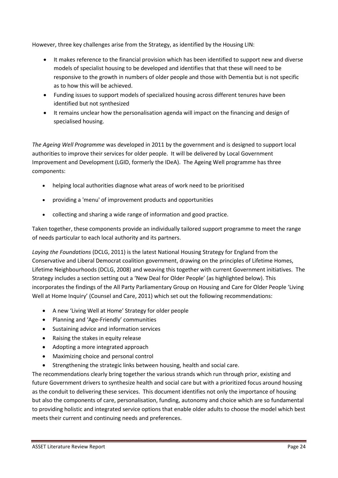However, three key challenges arise from the Strategy, as identified by the Housing LIN:

- It makes reference to the financial provision which has been identified to support new and diverse models of specialist housing to be developed and identifies that that these will need to be responsive to the growth in numbers of older people and those with Dementia but is not specific as to how this will be achieved.
- Funding issues to support models of specialized housing across different tenures have been identified but not synthesized
- It remains unclear how the personalisation agenda will impact on the financing and design of specialised housing.

*The Ageing Well Programme* was developed in 2011 by the government and is designed to support local authorities to improve their services for older people. It will be delivered by Local Government Improvement and Development (LGID, formerly the IDeA). The Ageing Well programme has three components:

- helping local authorities diagnose what areas of work need to be prioritised
- providing a 'menu' of improvement products and opportunities
- collecting and sharing a wide range of information and good practice.

<span id="page-24-0"></span>Taken together, these components provide an individually tailored support programme to meet the range of needs particular to each local authority and its partners.

*Laying the Foundations* (DCLG, 2011) is the latest National Housing Strategy for England from the Conservative and Liberal Democrat coalition government, drawing on the principles of Lifetime Homes, Lifetime Neighbourhoods (DCLG, 2008) and weaving this together with current Government initiatives. The Strategy includes a section setting out a 'New Deal for Older People' (as highlighted below). This incorporates the findings of the All Party Parliamentary Group on Housing and Care for Older People 'Living Well at Home Inquiry' (Counsel and Care, 2011) which set out the following recommendations:

- A new 'Living Well at Home' Strategy for older people
- Planning and 'Age-Friendly' communities
- Sustaining advice and information services
- Raising the stakes in equity release
- Adopting a more integrated approach
- Maximizing choice and personal control
- Strengthening the strategic links between housing, health and social care.

The recommendations clearly bring together the various strands which run through prior, existing and future Government drivers to synthesize health and social care but with a prioritized focus around housing as the conduit to delivering these services. This document identifies not only the importance of housing but also the components of care, personalisation, funding, autonomy and choice which are so fundamental to providing holistic and integrated service options that enable older adults to choose the model which best meets their current and continuing needs and preferences.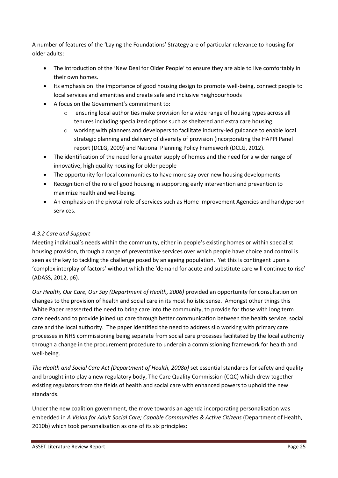A number of features of the 'Laying the Foundations' Strategy are of particular relevance to housing for older adults:

- The introduction of the 'New Deal for Older People' to ensure they are able to live comfortably in their own homes.
- Its emphasis on the importance of good housing design to promote well-being, connect people to local services and amenities and create safe and inclusive neighbourhoods
- A focus on the Government's commitment to:
	- $\circ$  ensuring local authorities make provision for a wide range of housing types across all tenures including specialized options such as sheltered and extra care housing.
	- o working with planners and developers to facilitate industry-led guidance to enable local strategic planning and delivery of diversity of provision (incorporating the HAPPI Panel report (DCLG, 2009) and National Planning Policy Framework (DCLG, 2012).
- The identification of the need for a greater supply of homes and the need for a wider range of innovative, high quality housing for older people
- The opportunity for local communities to have more say over new housing developments
- Recognition of the role of good housing in supporting early intervention and prevention to maximize health and well-being.
- An emphasis on the pivotal role of services such as Home Improvement Agencies and handyperson services.

# *4.3.2 Care and Support*

Meeting individual's needs within the community, either in people's existing homes or within specialist housing provision, through a range of preventative services over which people have choice and control is seen as the key to tackling the challenge posed by an ageing population. Yet this is contingent upon a 'complex interplay of factors' without which the 'demand for acute and substitute care will continue to rise' (ADASS, 2012, p6).

*Our Health, Our Care, Our Say (Department of Health, 2006)* provided an opportunity for consultation on changes to the provision of health and social care in its most holistic sense. Amongst other things this White Paper reasserted the need to bring care into the community, to provide for those with long term care needs and to provide joined up care through better communication between the health service, social care and the local authority. The paper identified the need to address silo working with primary care processes in NHS commissioning being separate from social care processes facilitated by the local authority through a change in the procurement procedure to underpin a commissioning framework for health and well-being.

*The Health and Social Care Act (Department of Health, 2008a)* set essential standards for safety and quality and brought into play a new regulatory body, The Care Quality Commission (CQC) which drew together existing regulators from the fields of health and social care with enhanced powers to uphold the new standards.

Under the new coalition government, the move towards an agenda incorporating personalisation was embedded in *A Vision for Adult Social Care; Capable Communities & Active Citizens* (Department of Health, 2010b) which took personalisation as one of its six principles: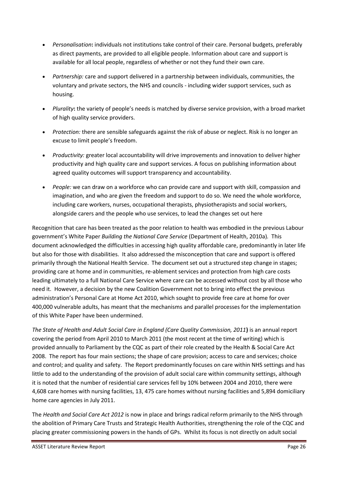- *Personalisation***:** individuals not institutions take control of their care. Personal budgets, preferably as direct payments, are provided to all eligible people. Information about care and support is available for all local people, regardless of whether or not they fund their own care.
- *Partnership:* care and support delivered in a partnership between individuals, communities, the voluntary and private sectors, the NHS and councils - including wider support services, such as housing.
- **•** Plurality: the variety of people's needs is matched by diverse service provision, with a broad market of high quality service providers.
- *Protection:* there are sensible safeguards against the risk of abuse or neglect. Risk is no longer an excuse to limit people's freedom.
- *Productivity:* greater local accountability will drive improvements and innovation to deliver higher productivity and high quality care and support services. A focus on publishing information about agreed quality outcomes will support transparency and accountability.
- *People:* we can draw on a workforce who can provide care and support with skill, compassion and imagination, and who are given the freedom and support to do so. We need the whole workforce, including care workers, nurses, occupational therapists, physiotherapists and social workers, alongside carers and the people who use services, to lead the changes set out here

Recognition that care has been treated as the poor relation to health was embodied in the previous Labour government's White Paper Building the National Care Service (Department of Health, 2010a). This document acknowledged the difficulties in accessing high quality affordable care, predominantly in later life but also for those with disabilities. It also addressed the misconception that care and support is offered primarily through the National Health Service. The document set out a structured step change in stages; providing care at home and in communities, re-ablement services and protection from high care costs leading ultimately to a full National Care Service where care can be accessed without cost by all those who need it. However, a decision by the new Coalition Government not to bring into effect the previous administration's Personal Care at Home Act 2010, which sought to provide free care at home for over 400,000 vulnerable adults, has meant that the mechanisms and parallel processes for the implementation of this White Paper have been undermined.

*The State of Health and Adult Social Care in England (Care Quality Commission, 2011***)** is an annual report covering the period from April 2010 to March 2011 (the most recent at the time of writing) which is provided annually to Parliament by the CQC as part of their role created by the Health & Social Care Act 2008. The report has four main sections; the shape of care provision; access to care and services; choice and control; and quality and safety. The Report predominantly focuses on care within NHS settings and has little to add to the understanding of the provision of adult social care within community settings, although it is noted that the number of residential care services fell by 10% between 2004 and 2010, there were 4,608 care homes with nursing facilities, 13, 475 care homes without nursing facilities and 5,894 domiciliary home care agencies in July 2011.

The *Health and Social Care Act 2012* is now in place and brings radical reform primarily to the NHS through the abolition of Primary Care Trusts and Strategic Health Authorities, strengthening the role of the CQC and placing greater commissioning powers in the hands of GPs. Whilst its focus is not directly on adult social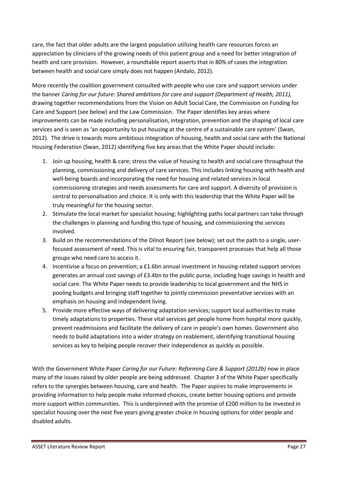<span id="page-27-0"></span>care, the fact that older adults are the largest population utilizing health care resources forces an appreciation by clinicians of the growing needs of this patient group and a need for better integration of health and care provision. However, a roundtable report asserts that in 80% of cases the integration between health and social care simply does not happen (Andalo, 2012).

More recently the coalition government consulted with people who use care and support services under the banner *Caring for our future: Shared ambitions for care and support (Department of Health, 2011),* drawing together recommendations from the Vision on Adult Social Care, the Commission on Funding for Care and Support (see below) and the Law Commission. The Paper identifies key areas where improvements can be made including personalisation, integration, prevention and the shaping of local care services and is seen as 'an opportunity to put housing at the centre of a sustainable care system' (Swan, 2012). The drive is towards more ambitious integration of housing, health and social care with the National Housing Federation (Swan, 2012) identifying five key areas that the White Paper should include:

- 1. Join up housing, health & care; stress the value of housing to health and social care throughout the planning, commissioning and delivery of care services. This includes linking housing with health and well-being boards and incorporating the need for housing and related services in local commissioning strategies and needs assessments for care and support. A diversity of provision is central to personalisation and choice. It is only with this leadership that the White Paper will be truly meaningful for the housing sector.
- <span id="page-27-1"></span>2. Stimulate the local market for specialist housing; highlighting paths local partners can take through the challenges in planning and funding this type of housing, and commissioning the services involved.
- 3. Build on the recommendations of the Dilnot Report (see below); set out the path to a single, userfocused assessment of need. This is vital to ensuring fair, transparent processes that help all those groups who need care to access it.
- 4. Incentivise a focus on prevention; a £1.6bn annual investment in housing-related support services generates an annual cost savings of £3.4bn to the public purse, including huge savings in health and social care. The White Paper needs to provide leadership to local government and the NHS in pooling budgets and bringing staff together to jointly commission preventative services with an emphasis on housing and independent living.
- 5. Provide more effective ways of delivering adaptation services; support local authorities to make timely adaptations to properties. These vital services get people home from hospital more quickly, prevent readmissions and facilitate the delivery of care in people's own homes. Government also needs to build adaptations into a wider strategy on reablement, identifying transitional housing services as key to helping people recover their independence as quickly as possible.

With the Government White Paper *Caring for our Future: Reforming Care & Support (2012b)* now in place many of the issues raised by older people are being addressed. Chapter 3 of the White Paper specifically refers to the synergies between housing, care and health. The Paper aspires to make improvements in providing information to help people make informed choices, create better housing options and provide more support within communities. This is underpinned with the promise of £200 million to be invested in specialist housing over the next five years giving greater choice in housing options for older people and disabled adults.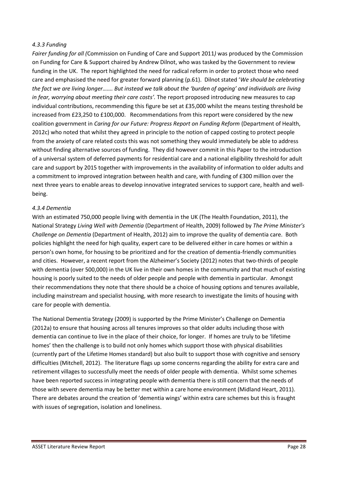#### <span id="page-28-0"></span>*4.3.3 Funding*

<span id="page-28-1"></span>*Fairer funding for all (*Commission on Funding of Care and Support 2011*)* was produced by the Commission on Funding for Care & Support chaired by Andrew Dilnot, who was tasked by the Government to review funding in the UK. The report highlighted the need for radical reform in order to protect those who need care and emphasised the need for greater forward planning (p.61). Dilnot stated 'We should be celebrating *the fact we are living longer.......* But instead we talk about the 'burden of ageing' and individuals are living *in fear, worrying about meeting their care costs<sup>2</sup>. The report proposed introducing new measures to cap* individual contributions, recommending this figure be set at £35,000 whilst the means testing threshold be increased from £23,250 to £100,000. Recommendations from this report were considered by the new coalition government in *Caring for our Future: Progress Report on Funding Reform* (Department of Health, 2012c) who noted that whilst they agreed in principle to the notion of capped costing to protect people from the anxiety of care related costs this was not something they would immediately be able to address without finding alternative sources of funding. They did however commit in this Paper to the introduction of a universal system of deferred payments for residential care and a national eligibility threshold for adult care and support by 2015 together with improvements in the availability of information to older adults and a commitment to improved integration between health and care, with funding of £300 million over the next three years to enable areas to develop innovative integrated services to support care, health and wellbeing.

#### *4.3.4 Dementia*

<span id="page-28-2"></span>With an estimated 750,000 people living with dementia in the UK (The Health Foundation, 2011), the National Strategy *Living Well with Dementia* (Department of Health, 2009) followed by *The Prime Minister's Challenge on Dementia* (Department of Health, 2012) aim to improve the quality of dementia care. Both policies highlight the need for high quality, expert care to be delivered either in care homes or within a person's own home, for housing to be prioritized and for the creation of dementia-friendly communities and cities. However, a recent report from the Alzheimer's Society (2012) notes that two-thirds of people with dementia (over 500,000) in the UK live in their own homes in the community and that much of existing housing is poorly suited to the needs of older people and people with dementia in particular. Amongst their recommendations they note that there should be a choice of housing options and tenures available, including mainstream and specialist housing, with more research to investigate the limits of housing with care for people with dementia.

<span id="page-28-3"></span>The National Dementia Strategy (2009) is supported by the Prime Minister's Challenge on Dementia (2012a) to ensure that housing across all tenures improves so that older adults including those with dementia can continue to live in the place of their choice, for longer. If homes are truly to be 'lifetime homes' then the challenge is to build not only homes which support those with physical disabilities (currently part of the Lifetime Homes standard) but also built to support those with cognitive and sensory difficulties (Mitchell, 2012). The literature flags up some concerns regarding the ability for extra care and retirement villages to successfully meet the needs of older people with dementia. Whilst some schemes have been reported success in integrating people with dementia there is still concern that the needs of those with severe dementia may be better met within a care home environment (Midland Heart, 2011). There are debates around the creation of 'dementia wings' within extra care schemes but this is fraught with issues of segregation, isolation and loneliness.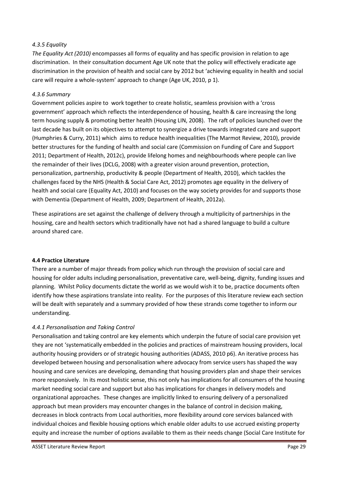#### *4.3.5 Equality*

*The Equality Act (2010)* encompasses all forms of equality and has specific provision in relation to age discrimination. In their consultation document Age UK note that the policy will effectively eradicate age discrimination in the provision of health and social care by 2012 but 'achieving equality in health and social care will require a whole-system' approach to change (Age UK, 2010, p 1).

#### *4.3.6 Summary*

Government policies aspire to work together to create holistic, seamless provision with a 'cross government' approach which reflects the interdependence of housing, health & care increasing the long term housing supply & promoting better health (Housing LIN, 2008). The raft of policies launched over the last decade has built on its objectives to attempt to synergize a drive towards integrated care and support (Humphries & Curry, 2011) which aims to reduce health inequalities (The Marmot Review, 2010), provide better structures for the funding of health and social care (Commission on Funding of Care and Support 2011; Department of Health, 2012c), provide lifelong homes and neighbourhoods where people can live the remainder of their lives (DCLG, 2008) with a greater vision around prevention, protection, personalization, partnership, productivity & people (Department of Health, 2010), which tackles the challenges faced by the NHS (Health & Social Care Act, 2012) promotes age equality in the delivery of health and social care (Equality Act, 2010) and focuses on the way society provides for and supports those with Dementia (Department of Health, 2009; Department of Health, 2012a).

These aspirations are set against the challenge of delivery through a multiplicity of partnerships in the housing, care and health sectors which traditionally have not had a shared language to build a culture around shared care.

#### **4.4 Practice Literature**

There are a number of major threads from policy which run through the provision of social care and housing for older adults including personalisation, preventative care, well-being, dignity, funding issues and planning. Whilst Policy documents dictate the world as we would wish it to be, practice documents often identify how these aspirations translate into reality. For the purposes of this literature review each section will be dealt with separately and a summary provided of how these strands come together to inform our understanding.

#### *4.4.1 Personalisation and Taking Control*

Personalisation and taking control are key elements which underpin the future of social care provision yet they are not 'systematically embedded in the policies and practices of mainstream housing providers, local authority housing providers or of strategic housing authorities (ADASS, 2010 p6). An iterative process has developed between housing and personalisation where advocacy from service users has shaped the way housing and care services are developing, demanding that housing providers plan and shape their services more responsively. In its most holistic sense, this not only has implications for all consumers of the housing market needing social care and support but also has implications for changes in delivery models and organizational approaches. These changes are implicitly linked to ensuring delivery of a personalized approach but mean providers may encounter changes in the balance of control in decision making, decreases in block contracts from Local authorities, more flexibility around core services balanced with individual choices and flexible housing options which enable older adults to use accrued existing property equity and increase the number of options available to them as their needs change (Social Care Institute for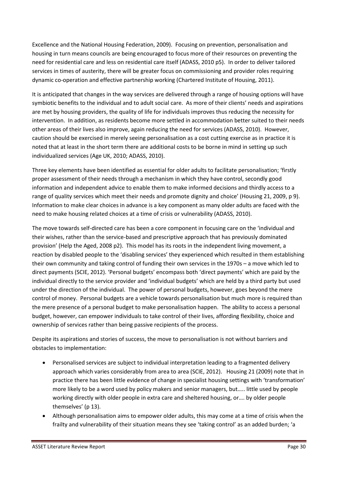Excellence and the National Housing Federation, 2009). Focusing on prevention, personalisation and housing in turn means councils are being encouraged to focus more of their resources on preventing the need for residential care and less on residential care itself (ADASS, 2010 p5). In order to deliver tailored services in times of austerity, there will be greater focus on commissioning and provider roles requiring dynamic co-operation and effective partnership working (Chartered Institute of Housing, 2011).

It is anticipated that changes in the way services are delivered through a range of housing options will have symbiotic benefits to the individual and to adult social care. As more of their clients' needs and aspirations are met by housing providers, the quality of life for individuals improves thus reducing the necessity for intervention. In addition, as residents become more settled in accommodation better suited to their needs other areas of their lives also improve, again reducing the need for services (ADASS, 2010). However, caution should be exercised in merely seeing personalisation as a cost cutting exercise as in practice it is noted that at least in the short term there are additional costs to be borne in mind in setting up such individualized services (Age UK, 2010; ADASS, 2010).

Three key elements have been identified as essential for older adults to facilitate personalisation; 'firstly proper assessment of their needs through a mechanism in which they have control, secondly good information and independent advice to enable them to make informed decisions and thirdly access to a range of quality services which meet their needs and promote dignity and choice' (Housing 21, 2009, p 9). Information to make clear choices in advance is a key component as many older adults are faced with the need to make housing related choices at a time of crisis or vulnerability (ADASS, 2010).

<span id="page-30-0"></span>The move towards self-directed care has been a core component in focusing care on the 'individual and their wishes, rather than the service-based and prescriptive approach that has previously dominated provision' (Help the Aged, 2008 p2). This model has its roots in the independent living movement, a reaction by disabled people to the 'disabling services' they experienced which resulted in them establishing their own community and taking control of funding their own services in the 1970s - a move which led to direct payments (SCIE, 2012). 'Personal budgets' encompass both 'direct payments' which are paid by the individual directly to the service provider and 'individual budgets' which are held by a third party but used under the direction of the individual. The power of personal budgets, however, goes beyond the mere control of money. Personal budgets are a vehicle towards personalisation but much more is required than the mere presence of a personal budget to make personalisation happen. The ability to access a personal budget, however, can empower individuals to take control of their lives, affording flexibility, choice and ownership of services rather than being passive recipients of the process.

Despite its aspirations and stories of success, the move to personalisation is not without barriers and obstacles to implementation:

- Personalised services are subject to individual interpretation leading to a fragmented delivery approach which varies considerably from area to area (SCIE, 2012). Housing 21 (2009) note that in practice there has been little evidence of change in specialist housing settings with 'transformation' more likely to be a word used by policy makers and senior managers, but..... little used by people working directly with older people in extra care and sheltered housing, or.... by older people themselves' (p 13).
- <span id="page-30-1"></span> Although personalisation aims to empower older adults, this may come at a time of crisis when the frailty and vulnerability of their situation means they see 'taking control' as an added burden; 'a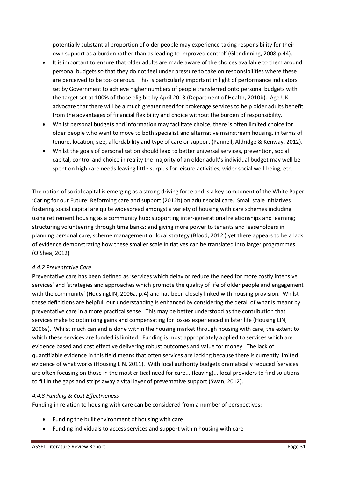potentially substantial proportion of older people may experience taking responsibility for their own support as a burden rather than as leading to improved control' (Glendinning, 2008 p.44).

- It is important to ensure that older adults are made aware of the choices available to them around personal budgets so that they do not feel under pressure to take on responsibilities where these are perceived to be too onerous. This is particularly important in light of performance indicators set by Government to achieve higher numbers of people transferred onto personal budgets with the target set at 100% of those eligible by April 2013 (Department of Health, 2010b). Age UK advocate that there will be a much greater need for brokerage services to help older adults benefit from the advantages of financial flexibility and choice without the burden of responsibility.
- Whilst personal budgets and information may facilitate choice, there is often limited choice for older people who want to move to both specialist and alternative mainstream housing, in terms of tenure, location, size, affordability and type of care or support (Pannell, Aldridge & Kenway, 2012).
- Whilst the goals of personalisation should lead to better universal services, prevention, social capital, control and choice in reality the majority of an older adult's individual budget may well be spent on high care needs leaving little surplus for leisure activities, wider social well-being, etc.

The notion of social capital is emerging as a strong driving force and is a key component of the White Paper 'Caring for our Future: Reforming care and support (2012b) on adult social care. Small scale initiatives fostering social capital are quite widespread amongst a variety of housing with care schemes including using retirement housing as a community hub; supporting inter-generational relationships and learning; structuring volunteering through time banks; and giving more power to tenants and leaseholders in planning personal care, scheme management or local strategy (Blood, 2012 ) yet there appears to be a lack of evidence demonstrating how these smaller scale initiatives can be translated into larger programmes (O'Shea, 2012)

#### *4.4.2 Preventative Care*

Preventative care has been defined as 'services which delay or reduce the need for more costly intensive services' and 'strategies and approaches which promote the quality of life of older people and engagement with the community' (HousingLIN, 2006a, p.4) and has been closely linked with housing provision. Whilst these definitions are helpful, our understanding is enhanced by considering the detail of what is meant by preventative care in a more practical sense. This may be better understood as the contribution that services make to optimizing gains and compensating for losses experienced in later life (Housing LIN, 2006a). Whilst much can and is done within the housing market through housing with care, the extent to which these services are funded is limited. Funding is most appropriately applied to services which are evidence based and cost effective delivering robust outcomes and value for money. The lack of quantifiable evidence in this field means that often services are lacking because there is currently limited evidence of what works (Housing LIN, 2011). With local authority budgets dramatically reduced 'services are often focusing on those in the most critical need for care....(leaving)... local providers to find solutions to fill in the gaps and strips away a vital layer of preventative support (Swan, 2012).

#### *4.4.3 Funding & Cost Effectiveness*

Funding in relation to housing with care can be considered from a number of perspectives:

- Funding the built environment of housing with care
- Funding individuals to access services and support within housing with care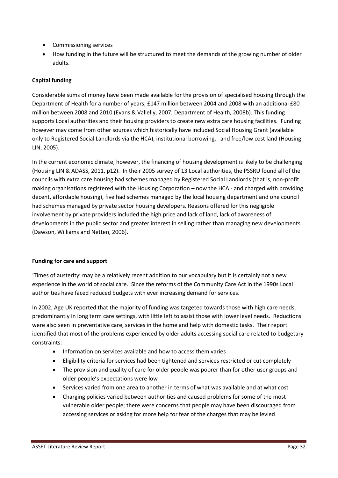- Commissioning services
- How funding in the future will be structured to meet the demands of the growing number of older adults.

# **Capital funding**

Considerable sums of money have been made available for the provision of specialised housing through the Department of Health for a number of years; £147 million between 2004 and 2008 with an additional £80 million between 2008 and 2010 (Evans & Vallelly, 2007; Department of Health, 2008b). This funding supports Local authorities and their housing providers to create new extra care housing facilities. Funding however may come from other sources which historically have included Social Housing Grant (available only to Registered Social Landlords via the HCA), institutional borrowing, and free/low cost land (Housing LIN, 2005).

In the current economic climate, however, the financing of housing development is likely to be challenging (Housing LIN & ADASS, 2011, p12). In their 2005 survey of 13 Local authorities, the PSSRU found all of the councils with extra care housing had schemes managed by Registered Social Landlords (that is, non-profit making organisations registered with the Housing Corporation – now the HCA - and charged with providing decent, affordable housing), five had schemes managed by the local housing department and one council had schemes managed by private sector housing developers. Reasons offered for this negligible involvement by private providers included the high price and lack of land, lack of awareness of developments in the public sector and greater interest in selling rather than managing new developments (Dawson, Williams and Netten, 2006).

# **Funding for care and support**

Times of austerity' may be a relatively recent addition to our vocabulary but it is certainly not a new experience in the world of social care. Since the reforms of the Community Care Act in the 1990s Local authorities have faced reduced budgets with ever increasing demand for services.

In 2002, Age UK reported that the majority of funding was targeted towards those with high care needs, predominantly in long term care settings, with little left to assist those with lower level needs. Reductions were also seen in preventative care, services in the home and help with domestic tasks. Their report identified that most of the problems experienced by older adults accessing social care related to budgetary constraints:

- Information on services available and how to access them varies
- Eligibility criteria for services had been tightened and services restricted or cut completely
- The provision and quality of care for older people was poorer than for other user groups and older people's expectations were low
- Services varied from one area to another in terms of what was available and at what cost
- Charging policies varied between authorities and caused problems for some of the most vulnerable older people; there were concerns that people may have been discouraged from accessing services or asking for more help for fear of the charges that may be levied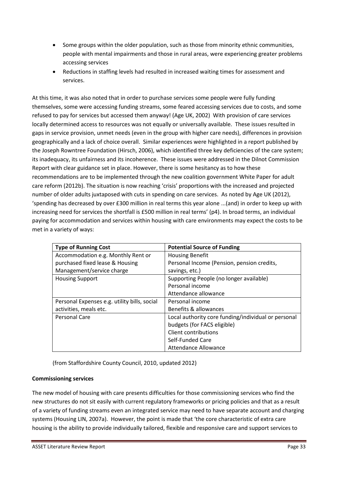- Some groups within the older population, such as those from minority ethnic communities, people with mental impairments and those in rural areas, were experiencing greater problems accessing services
- Reductions in staffing levels had resulted in increased waiting times for assessment and services.

At this time, it was also noted that in order to purchase services some people were fully funding themselves, some were accessing funding streams, some feared accessing services due to costs, and some refused to pay for services but accessed them anyway! (Age UK, 2002) With provision of care services locally determined access to resources was not equally or universally available. These issues resulted in gaps in service provision, unmet needs (even in the group with higher care needs), differences in provision geographically and a lack of choice overall. Similar experiences were highlighted in a report published by the Joseph Rowntree Foundation (Hirsch, 2006), which identified three key deficiencies of the care system; its inadequacy, its unfairness and its incoherence. These issues were addressed in the Dilnot Commission Report with clear guidance set in place. However, there is some hesitancy as to how these recommendations are to be implemented through the new coalition government White Paper for adult care reform (2012b). The situation is now reaching 'crisis' proportions with the increased and projected number of older adults juxtaposed with cuts in spending on care services. As noted by Age UK (2012), 'spending has decreased by over £300 million in real terms this year alone ...(and) in order to keep up with increasing need for services the shortfall is £500 million in real terms' (p4). In broad terms, an individual paying for accommodation and services within housing with care environments may expect the costs to be met in a variety of ways:

| <b>Type of Running Cost</b>                  | <b>Potential Source of Funding</b>                  |
|----------------------------------------------|-----------------------------------------------------|
| Accommodation e.g. Monthly Rent or           | <b>Housing Benefit</b>                              |
| purchased fixed lease & Housing              | Personal Income (Pension, pension credits,          |
| Management/service charge                    | savings, etc.)                                      |
| <b>Housing Support</b>                       | Supporting People (no longer available)             |
|                                              | Personal income                                     |
|                                              | Attendance allowance                                |
| Personal Expenses e.g. utility bills, social | Personal income                                     |
| activities, meals etc.                       | Benefits & allowances                               |
| Personal Care                                | Local authority core funding/individual or personal |
|                                              | budgets (for FACS eligible)                         |
|                                              | Client contributions                                |
|                                              | Self-Funded Care                                    |
|                                              | <b>Attendance Allowance</b>                         |

(from Staffordshire County Council, 2010, updated 2012)

#### **Commissioning services**

The new model of housing with care presents difficulties for those commissioning services who find the new structures do not sit easily with current regulatory frameworks or pricing policies and that as a result of a variety of funding streams even an integrated service may need to have separate account and charging systems (Housing LIN, 2007a). However, the point is made that 'the core characteristic of extra care housing is the ability to provide individually tailored, flexible and responsive care and support services to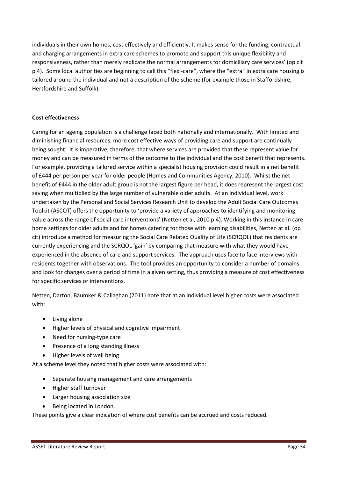<span id="page-34-0"></span>individuals in their own homes, cost effectively and efficiently. It makes sense for the funding, contractual and charging arrangements in extra care schemes to promote and support this unique flexibility and responsiveness, rather than merely replicate the normal arrangements for domiciliary care services' (op cit p 4). Some local authorities are beginning to call this "flexi-care", where the "extra" in extra care housing is tailored around the individual and not a description of the scheme (for example those in Staffordshire, Hertfordshire and Suffolk).

#### **Cost effectiveness**

Caring for an ageing population is a challenge faced both nationally and internationally. With limited and diminishing financial resources, more cost effective ways of providing care and support are continually being sought. It is imperative, therefore, that where services are provided that these represent value for money and can be measured in terms of the outcome to the individual and the cost benefit that represents. For example, providing a tailored service within a specialist housing provision could result in a net benefit of £444 per person per year for older people (Homes and Communities Agency, 2010). Whilst the net benefit of £444 in the older adult group is not the largest figure per head, it does represent the largest cost saving when multiplied by the large number of vulnerable older adults. At an individual level, work undertaken by the Personal and Social Services Research Unit to develop the Adult Social Care Outcomes Toolkit (ASCOT) offers the opportunity to 'provide a variety of approaches to identifying and monitoring value across the range of social care interventions' (Netten et al, 2010 p.4). Working in this instance in care home settings for older adults and for homes catering for those with learning disabilities, Netten at al. (op cit) introduce a method for measuring the Social Care Related Quality of Life (SCRQOL) that residents are currently experiencing and the SCRQOL 'gain' by comparing that measure with what they would have experienced in the absence of care and support services. The approach uses face to face interviews with residents together with observations. The tool provides an opportunity to consider a number of domains and look for changes over a period of time in a given setting, thus providing a measure of cost effectiveness for specific services or interventions.

Netten, Darton, Bäumker & Callaghan (2011) note that at an individual level higher costs were associated with:

- Living alone
- Higher levels of physical and cognitive impairment
- Need for nursing-type care
- Presence of a long standing illness
- Higher levels of well being

At a scheme level they noted that higher costs were associated with:

- Separate housing management and care arrangements
- Higher staff turnover
- Larger housing association size
- Being located in London.

These points give a clear indication of where cost benefits can be accrued and costs reduced.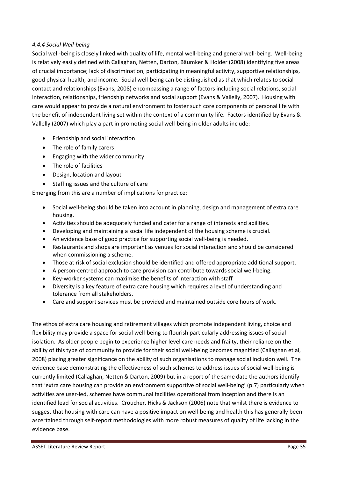#### <span id="page-35-0"></span>*4.4.4 Social Well-being*

Social well-being is closely linked with quality of life, mental well-being and general well-being. Well-being is relatively easily defined with Callaghan, Netten, Darton, Bäumker & Holder (2008) identifying five areas of crucial importance; lack of discrimination, participating in meaningful activity, supportive relationships, good physical health, and income. Social well-being can be distinguished as that which relates to social contact and relationships (Evans, 2008) encompassing a range of factors including social relations, social interaction, relationships, friendship networks and social support (Evans & Vallelly, 2007). Housing with care would appear to provide a natural environment to foster such core components of personal life with the benefit of independent living set within the context of a community life. Factors identified by Evans & Vallelly (2007) which play a part in promoting social well-being in older adults include:

- Friendship and social interaction
- The role of family carers
- Engaging with the wider community
- The role of facilities
- Design, location and layout
- Staffing issues and the culture of care

Emerging from this are a number of implications for practice:

- Social well-being should be taken into account in planning, design and management of extra care housing.
- Activities should be adequately funded and cater for a range of interests and abilities.
- Developing and maintaining a social life independent of the housing scheme is crucial.
- An evidence base of good practice for supporting social well-being is needed.
- Restaurants and shops are important as venues for social interaction and should be considered when commissioning a scheme.
- Those at risk of social exclusion should be identified and offered appropriate additional support.
- A person-centred approach to care provision can contribute towards social well-being.
- Key-worker systems can maximise the benefits of interaction with staff
- Diversity is a key feature of extra care housing which requires a level of understanding and tolerance from all stakeholders.
- Care and support services must be provided and maintained outside core hours of work.

The ethos of extra care housing and retirement villages which promote independent living, choice and flexibility may provide a space for social well-being to flourish particularly addressing issues of social isolation. As older people begin to experience higher level care needs and frailty, their reliance on the ability of this type of community to provide for their social well-being becomes magnified (Callaghan et al, 2008) placing greater significance on the ability of such organisations to manage social inclusion well. The evidence base demonstrating the effectiveness of such schemes to address issues of social well-being is currently limited (Callaghan, Netten & Darton, 2009) but in a report of the same date the authors identify that 'extra care housing can provide an environment supportive of social well-being' (p.7) particularly when activities are user-led, schemes have communal facilities operational from inception and there is an identified lead for social activities. Croucher, Hicks & Jackson (2006) note that whilst there is evidence to suggest that housing with care can have a positive impact on well-being and health this has generally been ascertained through self-report methodologies with more robust measures of quality of life lacking in the evidence base.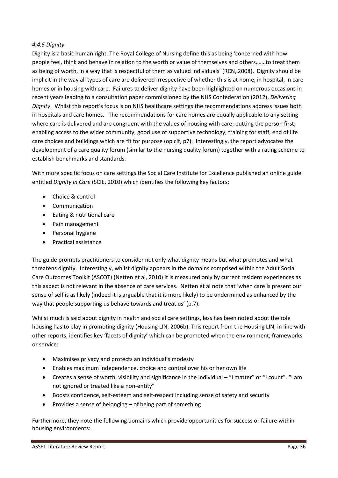#### *4.4.5 Dignity*

Dignity is a basic human right. The Royal College of Nursing define this as being 'concerned with how people feel, think and behave in relation to the worth or value of themselves and others...... to treat them as being of worth, in a way that is respectful of them as valued individuals' (RCN, 2008). Dignity should be implicit in the way all types of care are delivered irrespective of whether this is at home, in hospital, in care homes or in housing with care. Failures to deliver dignity have been highlighted on numerous occasions in recent years leading to a consultation paper commissioned by the NHS Confederation (2012), *Delivering*  Dignity. Whilst this report's focus is on NHS healthcare settings the recommendations address issues both in hospitals and care homes. The recommendations for care homes are equally applicable to any setting where care is delivered and are congruent with the values of housing with care; putting the person first, enabling access to the wider community, good use of supportive technology, training for staff, end of life care choices and buildings which are fit for purpose (op cit, p7). Interestingly, the report advocates the development of a care quality forum (similar to the nursing quality forum) together with a rating scheme to establish benchmarks and standards.

With more specific focus on care settings the Social Care Institute for Excellence published an online guide entitled *Dignity in Care* (SCIE, 2010) which identifies the following key factors:

- <span id="page-36-0"></span>• Choice & control
- Communication
- Eating & nutritional care
- Pain management
- Personal hygiene
- Practical assistance

The guide prompts practitioners to consider not only what dignity means but what promotes and what threatens dignity. Interestingly, whilst dignity appears in the domains comprised within the Adult Social Care Outcomes Toolkit (ASCOT) (Netten et al, 2010) it is measured only by current resident experiences as this aspect is not relevant in the absence of care services. Netten et al note that 'when care is present our sense of self is as likely (indeed it is arguable that it is more likely) to be undermined as enhanced by the way that people supporting us behave towards and treat us' (p.7).

Whilst much is said about dignity in health and social care settings, less has been noted about the role housing has to play in promoting dignity (Housing LIN, 2006b). This report from the Housing LIN, in line with other reports, identifies key 'facets of dignity' which can be promoted when the environment, frameworks or service:

- Maximises privacy and protects an individual's modesty
- Enables maximum independence, choice and control over his or her own life
- Creates a sense of worth, visibility and significance in the individual "I matter" or "I count". "I am not ignored or treated like a non-entity"
- Boosts confidence, self-esteem and self-respect including sense of safety and security
- **•** Provides a sense of belonging  $-$  of being part of something

Furthermore, they note the following domains which provide opportunities for success or failure within housing environments: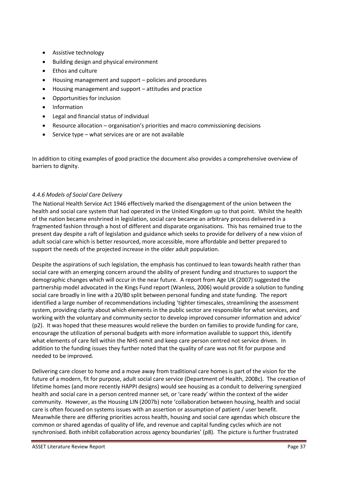- Assistive technology
- Building design and physical environment
- Ethos and culture
- Housing management and support policies and procedures
- Housing management and support attitudes and practice
- Opportunities for inclusion
- Information
- Legal and financial status of individual
- Resource allocation organisation's priorities and macro commissioning decisions
- Service type  $-$  what services are or are not available

In addition to citing examples of good practice the document also provides a comprehensive overview of barriers to dignity.

#### *4.4.6 Models of Social Care Delivery*

The National Health Service Act 1946 effectively marked the disengagement of the union between the health and social care system that had operated in the United Kingdom up to that point. Whilst the health of the nation became enshrined in legislation, social care became an arbitrary process delivered in a fragmented fashion through a host of different and disparate organisations. This has remained true to the present day despite a raft of legislation and guidance which seeks to provide for delivery of a new vision of adult social care which is better resourced, more accessible, more affordable and better prepared to support the needs of the projected increase in the older adult population.

Despite the aspirations of such legislation, the emphasis has continued to lean towards health rather than social care with an emerging concern around the ability of present funding and structures to support the demographic changes which will occur in the near future. A report from Age UK (2007) suggested the partnership model advocated in the Kings Fund report (Wanless, 2006) would provide a solution to funding social care broadly in line with a 20/80 split between personal funding and state funding. The report identified a large number of recommendations including 'tighter timescales, streamlining the assessment system, providing clarity about which elements in the public sector are responsible for what services, and working with the voluntary and community sector to develop improved consumer information and advice' (p2). It was hoped that these measures would relieve the burden on families to provide funding for care, encourage the utilization of personal budgets with more information available to support this, identify what elements of care fell within the NHS remit and keep care person centred not service driven. In addition to the funding issues they further noted that the quality of care was not fit for purpose and needed to be improved.

Delivering care closer to home and a move away from traditional care homes is part of the vision for the future of a modern, fit for purpose, adult social care service (Department of Health, 2008c). The creation of lifetime homes (and more recently HAPPI designs) would see housing as a conduit to delivering synergized health and social care in a person centred manner set, or 'care ready' within the context of the wider community. However, as the Housing LIN (2007b) note 'collaboration between housing, health and social care is often focused on systems issues with an assertion or assumption of patient / user benefit. Meanwhile there are differing priorities across health, housing and social care agendas which obscure the common or shared agendas of quality of life, and revenue and capital funding cycles which are not synchronised. Both inhibit collaboration across agency boundaries' (p8). The picture is further frustrated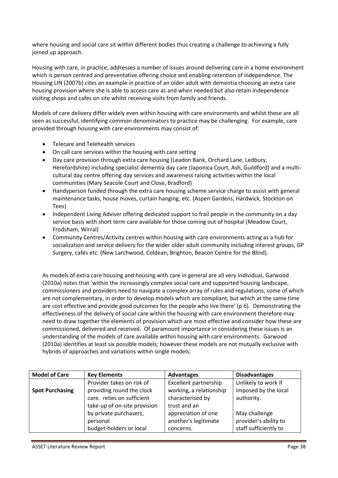where housing and social care sit within different bodies thus creating a challenge to achieving a fully joined up approach.

Housing with care, in practice, addresses a number of issues around delivering care in a home environment which is person centred and preventative offering choice and enabling retention of independence. The Housing LIN (2007b) cites an example in practice of an older adult with dementia choosing an extra care housing provision where she is able to access care as and when needed but also retain independence visiting shops and cafes on site whilst receiving visits from family and friends.

Models of care delivery differ widely even within housing with care environments and whilst these are all seen as successful, identifying common denominators to practice may be challenging. For example, care provided through housing with care environments may consist of:

- Telecare and Telehealth services
- On call care services within the housing with care setting
- Day care provision through extra care housing (Leadon Bank, Orchard Lane, Ledbury, Herefordshire) including specialist dementia day care (Japonica Court, Ash, Guildford) and a multicultural day centre offering day services and awareness raising activities within the local communities (Mary Seacole Court and Close, Bradford)
- Handyperson funded through the extra care housing scheme service charge to assist with general maintenance tasks, house moves, curtain hanging, etc. (Aspen Gardens, Hardwick, Stockton on Tees)
- Independent Living Adviser offering dedicated support to frail people in the community on a day service basis with short term care available for those coming out of hospital (Meadow Court, Frodsham, Wirral)
- Community Centres/Activity centres within housing with care environments acting as a hub for socialization and service delivery for the wider older adult community including interest groups, GP Surgery, cafés etc. (New Larchwood, Coldean, Brighton, Beacon Centre for the Blind).

As models of extra care housing and housing with care in general are all very individual, Garwood (2010a) notes that 'within the increasingly complex social care and supported housing landscape, commissioners and providers need to navigate a complex array of rules and regulations, some of which are not complementary, in order to develop models which are compliant, but which at the same time are cost effective and provide good outcomes for the people who live there' (p 6). Demonstrating the effectiveness of the delivery of social care within the housing with care environment therefore may need to draw together the elements of provision which are most effective and consider how these are commissioned, delivered and received. Of paramount importance in considering these issues is an understanding of the models of care available within housing with care environments. Garwood (2010a) identifies at least six possible models; however these models are not mutually exclusive with hybrids of approaches and variations within single models:

| <b>Model of Care</b>   | <b>Key Elements</b>                          | <b>Advantages</b>       | <b>Disadvantages</b>  |
|------------------------|----------------------------------------------|-------------------------|-----------------------|
|                        | Provider takes on risk of                    | Excellent partnership   | Unlikely to work if   |
| <b>Spot Purchasing</b> | providing round the clock                    | working, a relationship | imposed by the local  |
|                        | care. relies on sufficient                   | characterised by        | authority.            |
|                        | trust and an<br>take-up of on-site provision |                         |                       |
| by private purchasers, |                                              | appreciation of one     | May challenge         |
|                        | personal                                     | another's legitimate    | provider's ability to |
|                        | budget-holders or local                      | concerns.               | staff sufficiently to |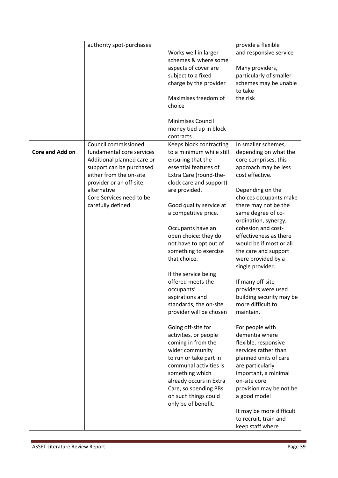|                 | authority spot-purchases   |                          | provide a flexible       |
|-----------------|----------------------------|--------------------------|--------------------------|
|                 |                            | Works well in larger     | and responsive service   |
|                 |                            | schemes & where some     |                          |
|                 |                            | aspects of cover are     | Many providers,          |
|                 |                            | subject to a fixed       | particularly of smaller  |
|                 |                            | charge by the provider   | schemes may be unable    |
|                 |                            |                          | to take                  |
|                 |                            | Maximises freedom of     | the risk                 |
|                 |                            | choice                   |                          |
|                 |                            |                          |                          |
|                 |                            | <b>Minimises Council</b> |                          |
|                 |                            | money tied up in block   |                          |
|                 |                            | contracts                |                          |
|                 | Council commissioned       | Keeps block contracting  | In smaller schemes,      |
| Core and Add on | fundamental core services  | to a minimum while still | depending on what the    |
|                 | Additional planned care or | ensuring that the        | core comprises, this     |
|                 | support can be purchased   | essential features of    | approach may be less     |
|                 | either from the on-site    | Extra Care (round-the-   | cost effective.          |
|                 | provider or an off-site    | clock care and support)  |                          |
|                 | alternative                | are provided.            | Depending on the         |
|                 | Core Services need to be   |                          | choices occupants make   |
|                 | carefully defined          | Good quality service at  | there may not be the     |
|                 |                            | a competitive price.     | same degree of co-       |
|                 |                            |                          | ordination, synergy,     |
|                 |                            | Occupants have an        | cohesion and cost-       |
|                 |                            | open choice: they do     | effectiveness as there   |
|                 |                            | not have to opt out of   | would be if most or all  |
|                 |                            | something to exercise    | the care and support     |
|                 |                            | that choice.             | were provided by a       |
|                 |                            |                          | single provider.         |
|                 |                            | If the service being     |                          |
|                 |                            | offered meets the        | If many off-site         |
|                 |                            | occupants'               | providers were used      |
|                 |                            | aspirations and          | building security may be |
|                 |                            | standards, the on-site   | more difficult to        |
|                 |                            | provider will be chosen  | maintain,                |
|                 |                            |                          |                          |
|                 |                            | Going off-site for       | For people with          |
|                 |                            | activities, or people    | dementia where           |
|                 |                            | coming in from the       | flexible, responsive     |
|                 |                            | wider community          | services rather than     |
|                 |                            | to run or take part in   | planned units of care    |
|                 |                            | communal activities is   | are particularly         |
|                 |                            | something which          | important, a minimal     |
|                 |                            | already occurs in Extra  | on-site core             |
|                 |                            | Care, so spending PBs    | provision may be not be  |
|                 |                            | on such things could     | a good model             |
|                 |                            | only be of benefit.      |                          |
|                 |                            |                          | It may be more difficult |
|                 |                            |                          | to recruit, train and    |
|                 |                            |                          | keep staff where         |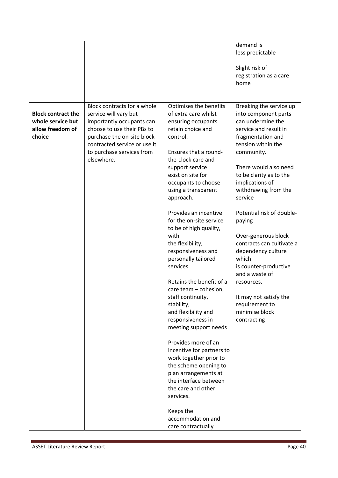|                                                                              |                                                                                                                                                                                                                           |                                                                                                                                                                                                                                                                                                                                                                                                                                                                                                                                                                                                                                                                                                                                                                                                                                            | demand is<br>less predictable<br>Slight risk of<br>registration as a care<br>home                                                                                                                                                                                                                                                                                                                                                                                                                                                |
|------------------------------------------------------------------------------|---------------------------------------------------------------------------------------------------------------------------------------------------------------------------------------------------------------------------|--------------------------------------------------------------------------------------------------------------------------------------------------------------------------------------------------------------------------------------------------------------------------------------------------------------------------------------------------------------------------------------------------------------------------------------------------------------------------------------------------------------------------------------------------------------------------------------------------------------------------------------------------------------------------------------------------------------------------------------------------------------------------------------------------------------------------------------------|----------------------------------------------------------------------------------------------------------------------------------------------------------------------------------------------------------------------------------------------------------------------------------------------------------------------------------------------------------------------------------------------------------------------------------------------------------------------------------------------------------------------------------|
| <b>Block contract the</b><br>whole service but<br>allow freedom of<br>choice | Block contracts for a whole<br>service will vary but<br>importantly occupants can<br>choose to use their PBs to<br>purchase the on-site block-<br>contracted service or use it<br>to purchase services from<br>elsewhere. | Optimises the benefits<br>of extra care whilst<br>ensuring occupants<br>retain choice and<br>control.<br>Ensures that a round-<br>the-clock care and<br>support service<br>exist on site for<br>occupants to choose<br>using a transparent<br>approach.<br>Provides an incentive<br>for the on-site service<br>to be of high quality,<br>with<br>the flexibility,<br>responsiveness and<br>personally tailored<br>services<br>Retains the benefit of a<br>care team - cohesion,<br>staff continuity,<br>stability,<br>and flexibility and<br>responsiveness in<br>meeting support needs<br>Provides more of an<br>incentive for partners to<br>work together prior to<br>the scheme opening to<br>plan arrangements at<br>the interface between<br>the care and other<br>services.<br>Keeps the<br>accommodation and<br>care contractually | Breaking the service up<br>into component parts<br>can undermine the<br>service and result in<br>fragmentation and<br>tension within the<br>community.<br>There would also need<br>to be clarity as to the<br>implications of<br>withdrawing from the<br>service<br>Potential risk of double-<br>paying<br>Over-generous block<br>contracts can cultivate a<br>dependency culture<br>which<br>is counter-productive<br>and a waste of<br>resources.<br>It may not satisfy the<br>requirement to<br>minimise block<br>contracting |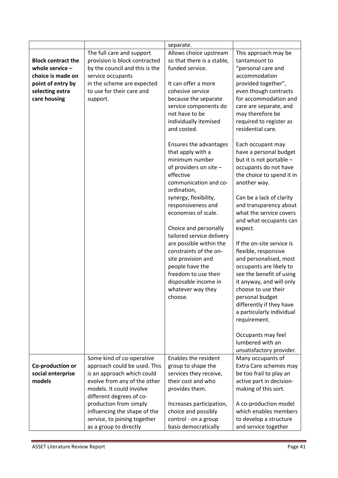|                           |                                | separate.                            |                           |
|---------------------------|--------------------------------|--------------------------------------|---------------------------|
|                           | The full care and support      | Allows choice upstream               | This approach may be      |
| <b>Block contract the</b> | provision is block contracted  | so that there is a stable,           | tantamount to             |
| whole service $-$         | by the council and this is the | funded service.                      | "personal care and        |
| choice is made on         | service occupants              |                                      | accommodation             |
| point of entry by         | in the scheme are expected     | It can offer a more                  | provided together",       |
| selecting extra           | to use for their care and      | cohesive service                     | even though contracts     |
| care housing              | support.                       | because the separate                 | for accommodation and     |
|                           |                                | service components do                | care are separate, and    |
|                           |                                | not have to be                       | may therefore be          |
|                           |                                | individually itemised                | required to register as   |
|                           |                                | and costed.                          | residential care.         |
|                           |                                | Ensures the advantages               | Each occupant may         |
|                           |                                | that apply with a                    | have a personal budget    |
|                           |                                | minimum number                       | but it is not portable -  |
|                           |                                | of providers on site -               | occupants do not have     |
|                           |                                | effective                            | the choice to spend it in |
|                           |                                | communication and co-                | another way.              |
|                           |                                | ordination,<br>synergy, flexibility, | Can be a lack of clarity  |
|                           |                                | responsiveness and                   | and transparency about    |
|                           |                                | economies of scale.                  | what the service covers   |
|                           |                                |                                      | and what occupants can    |
|                           |                                | Choice and personally                | expect.                   |
|                           |                                | tailored service delivery            |                           |
|                           |                                | are possible within the              | If the on-site service is |
|                           |                                | constraints of the on-               | flexible, responsive      |
|                           |                                | site provision and                   | and personalised, most    |
|                           |                                | people have the                      | occupants are likely to   |
|                           |                                | freedom to use their                 | see the benefit of using  |
|                           |                                | disposable income in                 | it anyway, and will only  |
|                           |                                | whatever way they                    | choose to use their       |
|                           |                                | choose.                              | personal budget           |
|                           |                                |                                      | differently if they have  |
|                           |                                |                                      | a particularly individual |
|                           |                                |                                      | requirement.              |
|                           |                                |                                      | Occupants may feel        |
|                           |                                |                                      | lumbered with an          |
|                           |                                |                                      | unsatisfactory provider.  |
|                           | Some kind of co-operative      | Enables the resident                 | Many occupants of         |
| Co-production or          | approach could be used. This   | group to shape the                   | Extra Care schemes may    |
| social enterprise         | is an approach which could     | services they receive,               | be too frail to play an   |
| models                    | evolve from any of the other   | their cost and who                   | active part in decision-  |
|                           | models. It could involve       | provides them.                       | making of this sort.      |
|                           | different degrees of co-       |                                      |                           |
|                           | production from simply         | Increases participation,             | A co-production model     |
|                           | influencing the shape of the   | choice and possibly                  | which enables members     |
|                           | service, to joining together   | control - on a group                 | to develop a structure    |
|                           | as a group to directly         | basis democratically                 | and service together      |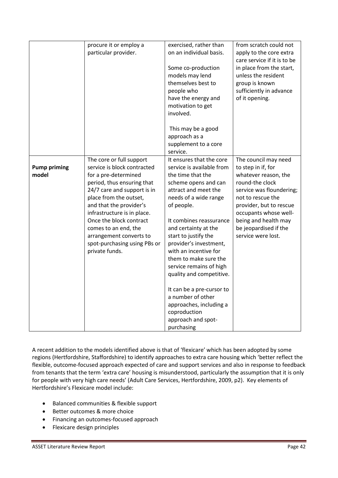|                              | procure it or employ a<br>particular provider.                                                                                                                                                                                                                                                                                                                   | exercised, rather than<br>on an individual basis.<br>Some co-production<br>models may lend<br>themselves best to<br>people who<br>have the energy and                                                                                                                                                                                                                                                                                                                                                            | from scratch could not<br>apply to the core extra<br>care service if it is to be<br>in place from the start,<br>unless the resident<br>group is known<br>sufficiently in advance<br>of it opening.                                                                |
|------------------------------|------------------------------------------------------------------------------------------------------------------------------------------------------------------------------------------------------------------------------------------------------------------------------------------------------------------------------------------------------------------|------------------------------------------------------------------------------------------------------------------------------------------------------------------------------------------------------------------------------------------------------------------------------------------------------------------------------------------------------------------------------------------------------------------------------------------------------------------------------------------------------------------|-------------------------------------------------------------------------------------------------------------------------------------------------------------------------------------------------------------------------------------------------------------------|
|                              |                                                                                                                                                                                                                                                                                                                                                                  | motivation to get<br>involved.<br>This may be a good<br>approach as a<br>supplement to a core<br>service.                                                                                                                                                                                                                                                                                                                                                                                                        |                                                                                                                                                                                                                                                                   |
| <b>Pump priming</b><br>model | The core or full support<br>service is block contracted<br>for a pre-determined<br>period, thus ensuring that<br>24/7 care and support is in<br>place from the outset,<br>and that the provider's<br>infrastructure is in place.<br>Once the block contract<br>comes to an end, the<br>arrangement converts to<br>spot-purchasing using PBs or<br>private funds. | It ensures that the core<br>service is available from<br>the time that the<br>scheme opens and can<br>attract and meet the<br>needs of a wide range<br>of people.<br>It combines reassurance<br>and certainty at the<br>start to justify the<br>provider's investment,<br>with an incentive for<br>them to make sure the<br>service remains of high<br>quality and competitive.<br>It can be a pre-cursor to<br>a number of other<br>approaches, including a<br>coproduction<br>approach and spot-<br>purchasing | The council may need<br>to step in if, for<br>whatever reason, the<br>round-the clock<br>service was floundering;<br>not to rescue the<br>provider, but to rescue<br>occupants whose well-<br>being and health may<br>be jeopardised if the<br>service were lost. |

A recent addition to the models identified above is that of 'flexicare' which has been adopted by some regions (Hertfordshire, Staffordshire) to identify approaches to extra care housing which 'better reflect the flexible, outcome-focused approach expected of care and support services and also in response to feedback from tenants that the term 'extra care' housing is misunderstood, particularly the assumption that it is only for people with very high care needs' (Adult Care Services, Hertfordshire, 2009, p2). Key elements of Hertfordshire's Flexicare model include:

- Balanced communities & flexible support
- Better outcomes & more choice
- Financing an outcomes-focused approach
- Flexicare design principles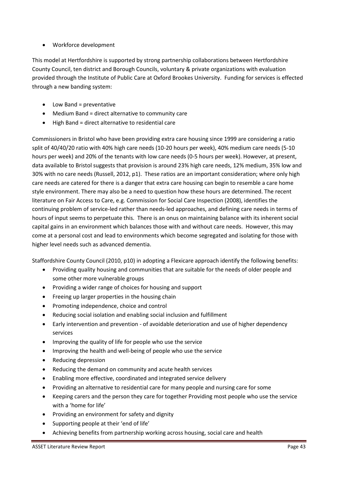# Workforce development

This model at Hertfordshire is supported by strong partnership collaborations between Hertfordshire County Council, ten district and Borough Councils, voluntary & private organizations with evaluation provided through the Institute of Public Care at Oxford Brookes University. Funding for services is effected through a new banding system:

- Low Band = preventative
- Medium Band = direct alternative to community care
- High Band = direct alternative to residential care

<span id="page-43-0"></span>Commissioners in Bristol who have been providing extra care housing since 1999 are considering a ratio split of 40/40/20 ratio with 40% high care needs (10-20 hours per week), 40% medium care needs (5-10 hours per week) and 20% of the tenants with low care needs (0-5 hours per week). However, at present, data available to Bristol suggests that provision is around 23% high care needs, 12% medium, 35% low and 30% with no care needs (Russell, 2012, p1). These ratios are an important consideration; where only high care needs are catered for there is a danger that extra care housing can begin to resemble a care home style environment. There may also be a need to question how these hours are determined. The recent literature on Fair Access to Care, e.g. Commission for Social Care Inspection (2008), identifies the continuing problem of service-led rather than needs-led approaches, and defining care needs in terms of hours of input seems to perpetuate this. There is an onus on maintaining balance with its inherent social capital gains in an environment which balances those with and without care needs. However, this may come at a personal cost and lead to environments which become segregated and isolating for those with higher level needs such as advanced dementia.

Staffordshire County Council (2010, p10) in adopting a Flexicare approach identify the following benefits:

- Providing quality housing and communities that are suitable for the needs of older people and some other more vulnerable groups
- Providing a wider range of choices for housing and support
- Freeing up larger properties in the housing chain
- Promoting independence, choice and control
- Reducing social isolation and enabling social inclusion and fulfillment
- Early intervention and prevention of avoidable deterioration and use of higher dependency services
- Improving the quality of life for people who use the service
- Improving the health and well-being of people who use the service
- Reducing depression
- Reducing the demand on community and acute health services
- Enabling more effective, coordinated and integrated service delivery
- Providing an alternative to residential care for many people and nursing care for some
- Keeping carers and the person they care for together Providing most people who use the service with a 'home for life'
- Providing an environment for safety and dignity
- Supporting people at their 'end of life'
- Achieving benefits from partnership working across housing, social care and health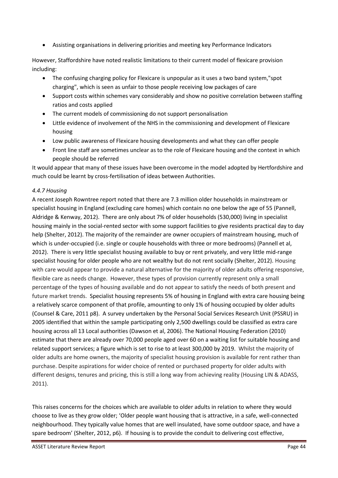Assisting organisations in delivering priorities and meeting key Performance Indicators

However, Staffordshire have noted realistic limitations to their current model of flexicare provision including:

- The confusing charging policy for Flexicare is unpopular as it uses a two band system,"spot charging", which is seen as unfair to those people receiving low packages of care
- Support costs within schemes vary considerably and show no positive correlation between staffing ratios and costs applied
- The current models of commissioning do not support personalisation
- Little evidence of involvement of the NHS in the commissioning and development of Flexicare housing
- Low public awareness of Flexicare housing developments and what they can offer people
- Front line staff are sometimes unclear as to the role of Flexicare housing and the context in which people should be referred

It would appear that many of these issues have been overcome in the model adopted by Hertfordshire and much could be learnt by cross-fertilisation of ideas between Authorities.

#### *4.4.7 Housing*

A recent Joseph Rowntree report noted that there are 7.3 million older households in mainstream or specialist housing in England (excluding care homes) which contain no one below the age of 55 (Pannell, Aldridge & Kenway, 2012). There are only about 7% of older households (530,000) living in specialist housing mainly in the social-rented sector with some support facilities to give residents practical day to day help (Shelter, 2012). The majority of the remainder are owner occupiers of mainstream housing, much of which is under-occupied (i.e. single or couple households with three or more bedrooms) (Pannell et al, 2012). There is very little specialist housing available to buy or rent privately, and very little mid-range specialist housing for older people who are not wealthy but do not rent socially (Shelter, 2012). Housing with care would appear to provide a natural alternative for the majority of older adults offering responsive, flexible care as needs change. However, these types of provision currently represent only a small percentage of the types of housing available and do not appear to satisfy the needs of both present and future market trends. Specialist housing represents 5% of housing in England with extra care housing being a relatively scarce component of that profile, amounting to only 1% of housing occupied by older adults (Counsel & Care, 2011 p8). A survey undertaken by the Personal Social Services Research Unit (PSSRU) in 2005 identified that within the sample participating only 2,500 dwellings could be classified as extra care housing across all 13 Local authorities (Dawson et al, 2006). The National Housing Federation (2010) estimate that there are already over 70,000 people aged over 60 on a waiting list for suitable housing and related support services; a figure which is set to rise to at least 300,000 by 2019. Whilst the majority of older adults are home owners, the majority of specialist housing provision is available for rent rather than purchase. Despite aspirations for wider choice of rented or purchased property for older adults with different designs, tenures and pricing, this is still a long way from achieving reality (Housing LIN & ADASS, 2011).

This raises concerns for the choices which are available to older adults in relation to where they would choose to live as they grow older; 'Older people want housing that is attractive, in a safe, well-connected neighbourhood. They typically value homes that are well insulated, have some outdoor space, and have a spare bedroom' (Shelter, 2012, p6). If housing is to provide the conduit to delivering cost effective,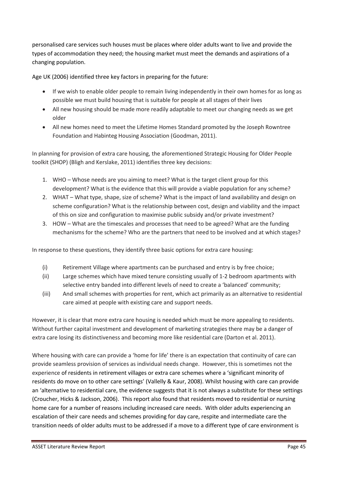personalised care services such houses must be places where older adults want to live and provide the types of accommodation they need; the housing market must meet the demands and aspirations of a changing population.

Age UK (2006) identified three key factors in preparing for the future:

- If we wish to enable older people to remain living independently in their own homes for as long as possible we must build housing that is suitable for people at all stages of their lives
- All new housing should be made more readily adaptable to meet our changing needs as we get older
- All new homes need to meet the Lifetime Homes Standard promoted by the Joseph Rowntree Foundation and Habinteg Housing Association (Goodman, 2011).

In planning for provision of extra care housing, the aforementioned Strategic Housing for Older People toolkit (SHOP) (Bligh and Kerslake, 2011) identifies three key decisions:

- 1. WHO Whose needs are you aiming to meet? What is the target client group for this development? What is the evidence that this will provide a viable population for any scheme?
- 2. WHAT What type, shape, size of scheme? What is the impact of land availability and design on scheme configuration? What is the relationship between cost, design and viability and the impact of this on size and configuration to maximise public subsidy and/or private investment?
- 3. HOW What are the timescales and processes that need to be agreed? What are the funding mechanisms for the scheme? Who are the partners that need to be involved and at which stages?

In response to these questions, they identify three basic options for extra care housing:

- (i) Retirement Village where apartments can be purchased and entry is by free choice;
- <span id="page-45-0"></span>(ii) Large schemes which have mixed tenure consisting usually of 1-2 bedroom apartments with selective entry banded into different levels of need to create a 'balanced' community:
- (iii) And small schemes with properties for rent, which act primarily as an alternative to residential care aimed at people with existing care and support needs.

However, it is clear that more extra care housing is needed which must be more appealing to residents. Without further capital investment and development of marketing strategies there may be a danger of extra care losing its distinctiveness and becoming more like residential care (Darton et al. 2011).

<span id="page-45-1"></span>Where housing with care can provide a 'home for life' there is an expectation that continuity of care can provide seamless provision of services as individual needs change. However, this is sometimes not the experience of residents in retirement villages or extra care schemes where a 'significant minority of residents do move on to other care settings' (Vallelly & Kaur, 2008). Whilst housing with care can provide an 'alternative to residential care, the evidence suggests that it is not always a substitute for these settings (Croucher, Hicks & Jackson, 2006). This report also found that residents moved to residential or nursing home care for a number of reasons including increased care needs. With older adults experiencing an escalation of their care needs and schemes providing for day care, respite and intermediate care the transition needs of older adults must to be addressed if a move to a different type of care environment is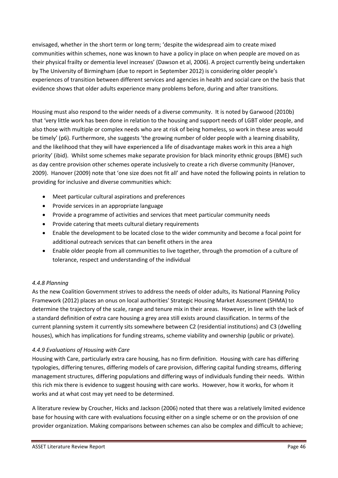envisaged, whether in the short term or long term; 'despite the widespread aim to create mixed communities within schemes, none was known to have a policy in place on when people are moved on as their physical frailty or dementia level increases' (Dawson et al, 2006). A project currently being undertaken by The University of Birmingham (due to report in September 2012) is considering older people's experiences of transition between different services and agencies in health and social care on the basis that evidence shows that older adults experience many problems before, during and after transitions.

Housing must also respond to the wider needs of a diverse community. It is noted by Garwood (2010b) that 'very little work has been done in relation to the housing and support needs of LGBT older people, and also those with multiple or complex needs who are at risk of being homeless, so work in these areas would be timely' (p6). Furthermore, she suggests 'the growing number of older people with a learning disability, and the likelihood that they will have experienced a life of disadvantage makes work in this area a high priority' (ibid). Whilst some schemes make separate provision for black minority ethnic groups (BME) such as day centre provision other schemes operate inclusively to create a rich diverse community (Hanover, 2009). Hanover (2009) note that 'one size does not fit all' and have noted the following points in relation to providing for inclusive and diverse communities which:

- Meet particular cultural aspirations and preferences
- Provide services in an appropriate language
- Provide a programme of activities and services that meet particular community needs
- Provide catering that meets cultural dietary requirements
- Enable the development to be located close to the wider community and become a focal point for additional outreach services that can benefit others in the area
- Enable older people from all communities to live together, through the promotion of a culture of tolerance, respect and understanding of the individual

# *4.4.8 Planning*

As the new Coalition Government strives to address the needs of older adults, its National Planning Policy Framework (2012) places an onus on local authorities' Strategic Housing Market Assessment (SHMA) to determine the trajectory of the scale, range and tenure mix in their areas. However, in line with the lack of a standard definition of extra care housing a grey area still exists around classification. In terms of the current planning system it currently sits somewhere between C2 (residential institutions) and C3 (dwelling houses), which has implications for funding streams, scheme viability and ownership (public or private).

#### *4.4.9 Evaluations of Housing with Care*

Housing with Care, particularly extra care housing, has no firm definition. Housing with care has differing typologies, differing tenures, differing models of care provision, differing capital funding streams, differing management structures, differing populations and differing ways of individuals funding their needs. Within this rich mix there is evidence to suggest housing with care works. However, how it works, for whom it works and at what cost may yet need to be determined.

A literature review by Croucher, Hicks and Jackson (2006) noted that there was a relatively limited evidence base for housing with care with evaluations focusing either on a single scheme or on the provision of one provider organization. Making comparisons between schemes can also be complex and difficult to achieve;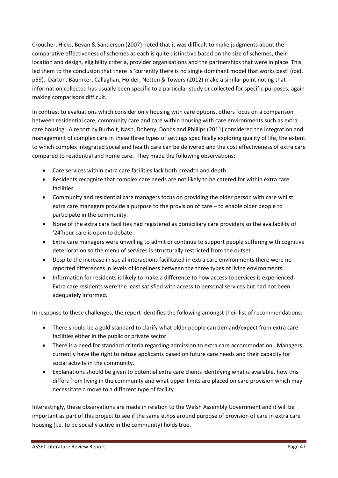Croucher, Hicks, Bevan & Sanderson (2007) noted that it was difficult to make judgments about the comparative effectiveness of schemes as each is quite distinctive based on the size of schemes, their location and design, eligibility criteria, provider organisations and the partnerships that were in place. This led them to the conclusion that there is 'currently there is no single dominant model that works best' (ibid, p59). Darton, Bäumker, Callaghan, Holder, Netten & Towers (2012) make a similar point noting that information collected has usually been specific to a particular study or collected for specific purposes, again making comparisons difficult.

In contrast to evaluations which consider only housing with care options, others focus on a comparison between residential care, community care and care within housing with care environments such as extra care housing. A report by Burholt, Nash, Doheny, Dobbs and Phillips (2011) considered the integration and management of complex care in these three types of settings specifically exploring quality of life, the extent to which complex integrated social and health care can be delivered and the cost effectiveness of extra care compared to residential and home care. They made the following observations:

- Care services within extra care facilities lack both breadth and depth
- Residents recognize that complex care needs are not likely to be catered for within extra care facilities
- Community and residential care managers focus on providing the older person with care whilst extra care managers provide a purpose to the provision of care  $-$  to enable older people to participate in the community.
- None of the extra care facilities had registered as domiciliary care providers so the availability of '24'hour care is open to debate
- Extra care managers were unwilling to admit or continue to support people suffering with cognitive deterioration so the menu of services is structurally restricted from the outset
- Despite the increase in social interactions facilitated in extra care environments there were no reported differences in levels of loneliness between the three types of living environments.
- Information for residents is likely to make a difference to how access to services is experienced. Extra care residents were the least satisfied with access to personal services but had not been adequately informed.

In response to these challenges, the report identifies the following amongst their list of recommendations:

- There should be a gold standard to clarify what older people can demand/expect from extra care facilities either in the public or private sector
- There is a need for standard criteria regarding admission to extra care accommodation. Managers currently have the right to refuse applicants based on future care needs and their capacity for social activity in the community.
- Explanations should be given to potential extra care clients identifying what is available, how this differs from living in the community and what upper limits are placed on care provision which may necessitate a move to a different type of facility.

Interestingly, these observations are made in relation to the Welsh Assembly Government and it will be important as part of this project to see if the same ethos around purpose of provision of care in extra care housing (i.e. to be socially active in the community) holds true.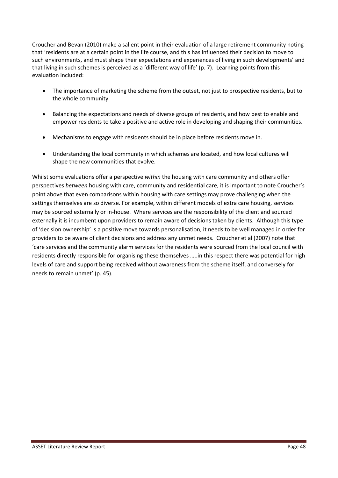<span id="page-48-0"></span>Croucher and Bevan (2010) make a salient point in their evaluation of a large retirement community noting that 'residents are at a certain point in the life course, and this has influenced their decision to move to such environments, and must shape their expectations and experiences of living in such developments' and that living in such schemes is perceived as a 'different way of life' (p. 7). Learning points from this evaluation included:

- The importance of marketing the scheme from the outset, not just to prospective residents, but to the whole community
- Balancing the expectations and needs of diverse groups of residents, and how best to enable and empower residents to take a positive and active role in developing and shaping their communities.
- Mechanisms to engage with residents should be in place before residents move in.
- Understanding the local community in which schemes are located, and how local cultures will shape the new communities that evolve.

Whilst some evaluations offer a perspective *within* the housing with care community and others offer perspectives *between* housing with care, community and residential care, it is important to note Croucher's point above that even comparisons within housing with care settings may prove challenging when the settings themselves are so diverse. For example, within different models of extra care housing, services may be sourced externally or in-house. Where services are the responsibility of the client and sourced externally it is incumbent upon providers to remain aware of decisions taken by clients. Although this type of 'decision ownership' is a positive move towards personalisation, it needs to be well managed in order for providers to be aware of client decisions and address any unmet needs. Croucher et al (2007) note that 'care services and the community alarm services for the residents were sourced from the local council with residents directly responsible for organising these themselves .....in this respect there was potential for high levels of care and support being received without awareness from the scheme itself, and conversely for needs to remain unmet' (p. 45).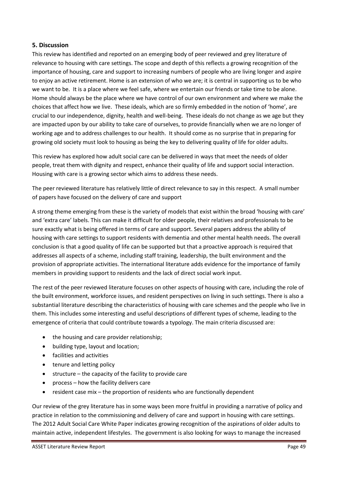#### **5. Discussion**

This review has identified and reported on an emerging body of peer reviewed and grey literature of relevance to housing with care settings. The scope and depth of this reflects a growing recognition of the importance of housing, care and support to increasing numbers of people who are living longer and aspire to enjoy an active retirement. Home is an extension of who we are; it is central in supporting us to be who we want to be. It is a place where we feel safe, where we entertain our friends or take time to be alone. Home should always be the place where we have control of our own environment and where we make the choices that affect how we live. These ideals, which are so firmly embedded in the notion of 'home', are crucial to our independence, dignity, health and well-being. These ideals do not change as we age but they are impacted upon by our ability to take care of ourselves, to provide financially when we are no longer of working age and to address challenges to our health. It should come as no surprise that in preparing for growing old society must look to housing as being the key to delivering quality of life for older adults.

This review has explored how adult social care can be delivered in ways that meet the needs of older people, treat them with dignity and respect, enhance their quality of life and support social interaction. Housing with care is a growing sector which aims to address these needs.

The peer reviewed literature has relatively little of direct relevance to say in this respect. A small number of papers have focused on the delivery of care and support

A strong theme emerging from these is the variety of models that exist within the broad 'housing with care' and 'extra care' labels. This can make it difficult for older people, their relatives and professionals to be sure exactly what is being offered in terms of care and support. Several papers address the ability of housing with care settings to support residents with dementia and other mental health needs. The overall conclusion is that a good quality of life can be supported but that a proactive approach is required that addresses all aspects of a scheme, including staff training, leadership, the built environment and the provision of appropriate activities. The international literature adds evidence for the importance of family members in providing support to residents and the lack of direct social work input.

The rest of the peer reviewed literature focuses on other aspects of housing with care, including the role of the built environment, workforce issues, and resident perspectives on living in such settings. There is also a substantial literature describing the characteristics of housing with care schemes and the people who live in them. This includes some interesting and useful descriptions of different types of scheme, leading to the emergence of criteria that could contribute towards a typology. The main criteria discussed are:

- the housing and care provider relationship;
- building type, layout and location;
- facilities and activities
- tenure and letting policy
- $\bullet$  structure the capacity of the facility to provide care
- $\bullet$  process  $-$  how the facility delivers care
- **•** resident case mix  $-$  the proportion of residents who are functionally dependent

Our review of the grey literature has in some ways been more fruitful in providing a narrative of policy and practice in relation to the commissioning and delivery of care and support in housing with care settings. The 2012 Adult Social Care White Paper indicates growing recognition of the aspirations of older adults to maintain active, independent lifestyles. The government is also looking for ways to manage the increased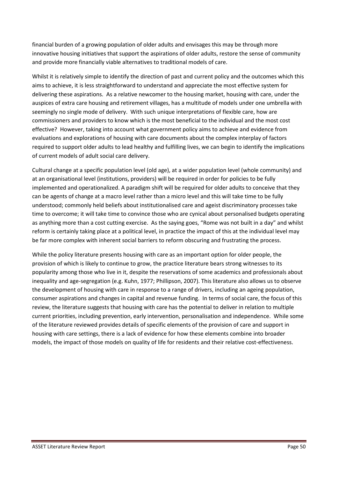<span id="page-50-1"></span><span id="page-50-0"></span>financial burden of a growing population of older adults and envisages this may be through more innovative housing initiatives that support the aspirations of older adults, restore the sense of community and provide more financially viable alternatives to traditional models of care.

Whilst it is relatively simple to identify the direction of past and current policy and the outcomes which this aims to achieve, it is less straightforward to understand and appreciate the most effective system for delivering these aspirations. As a relative newcomer to the housing market, housing with care, under the auspices of extra care housing and retirement villages, has a multitude of models under one umbrella with seemingly no single mode of delivery. With such unique interpretations of flexible care, how are commissioners and providers to know which is the most beneficial to the individual and the most cost effective? However, taking into account what government policy aims to achieve and evidence from evaluations and explorations of housing with care documents about the complex interplay of factors required to support older adults to lead healthy and fulfilling lives, we can begin to identify the implications of current models of adult social care delivery.

Cultural change at a specific population level (old age), at a wider population level (whole community) and at an organisational level (institutions, providers) will be required in order for policies to be fully implemented and operationalized. A paradigm shift will be required for older adults to conceive that they can be agents of change at a macro level rather than a micro level and this will take time to be fully understood; commonly held beliefs about institutionalised care and ageist discriminatory processes take time to overcome; it will take time to convince those who are cynical about personalised budgets operating as anything more than a cost cutting exercise. As the saying goes, "Rome was not built in a day" and whilst reform is certainly taking place at a political level, in practice the impact of this at the individual level may be far more complex with inherent social barriers to reform obscuring and frustrating the process.

While the policy literature presents housing with care as an important option for older people, the provision of which is likely to continue to grow, the practice literature bears strong witnesses to its popularity among those who live in it, despite the reservations of some academics and professionals about inequality and age-segregation (e.g. Kuhn, 1977; Phillipson, 2007). This literature also allows us to observe the development of housing with care in response to a range of drivers, including an ageing population, consumer aspirations and changes in capital and revenue funding. In terms of social care, the focus of this review, the literature suggests that housing with care has the potential to deliver in relation to multiple current priorities, including prevention, early intervention, personalisation and independence. While some of the literature reviewed provides details of specific elements of the provision of care and support in housing with care settings, there is a lack of evidence for how these elements combine into broader models, the impact of those models on quality of life for residents and their relative cost-effectiveness.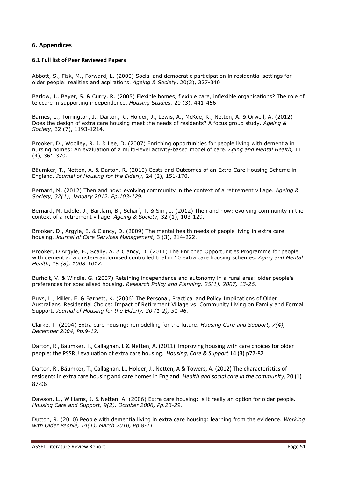#### **6. Appendices**

#### **6.1 Full list of Peer Reviewed Papers**

Abbott, S., Fisk, M., Forward, L. (2000) Social and democratic participation in residential settings for older people: realities and aspirations. *Ageing & Society*, 20(3), 327-340

Barlow, J., Bayer, S. & Curry, R. (2005) Flexible homes, flexible care, inflexible organisations? The role of telecare in supporting independence. *Housing Studies,* 20 (3), 441-456.

Barnes, L., Torrington, J., Darton, R., Holder, J., Lewis, A., McKee, K., Netten, A. & Orwell, A. (2012) Does the design of extra care housing meet the needs of residents? A focus group study. *Ageing & Society,* 32 (7), 1193-1214.

Brooker, D., Woolley, R. J. & Lee, D. (2007) Enriching opportunities for people living with dementia in nursing homes: An evaluation of a multi-level activity-based model of care. *Aging and Mental Health,* 11 (4), 361-370.

Bäumker, T., Netten, A. & Darton, R. (2010) Costs and Outcomes of an Extra Care Housing Scheme in England. *Journal of Housing for the Elderly,* 24 (2), 151-170.

Bernard, M. (2012) Then and now: evolving community in the context of a retirement village. *Ageing & Society, 32(1), January 2012, Pp.103-129.*

Bernard, M, Liddle, J., Bartlam, B., Scharf, T. & Sim, J. (2012) Then and now: evolving community in the context of a retirement village. *Ageing & Society,* 32 (1), 103-129.

Brooker, D., Argyle, E. & Clancy, D. (2009) The mental health needs of people living in extra care housing. *Journal of Care Services Management,* 3 (3), 214-222.

Brooker, D Argyle, E., Scally, A. & Clancy, D. (2011) The Enriched Opportunities Programme for people with dementia: a cluster-randomised controlled trial in 10 extra care housing schemes. *Aging and Mental Health*, *15 (8), 1008-1017.* 

Burholt, V. & Windle, G. (2007) Retaining independence and autonomy in a rural area: older people's preferences for specialised housing. *Research Policy and Planning, 25(1), 2007, 13-26.*

Buys, L., Miller, E. & Barnett, K. (2006) The Personal, Practical and Policy Implications of Older Australians' Residential Choice: Impact of Retirement Village vs. Community Living on Family and Formal Support. *Journal of Housing for the Elderly, 20 (1-2), 31-46.*

Clarke, T. (2004) Extra care housing: remodelling for the future. *Housing Care and Support, 7(4), December 2004, Pp.9-12.*

Darton, R., Bäumker, T., Callaghan, L & Netten, A. (2011) Improving housing with care choices for older people: the PSSRU evaluation of extra care housing*. Housing, Care & Support* 14 (3) p77-82

Darton, R., Bäumker, T., Callaghan, L., Holder, J., Netten, A & Towers, A. (2012) The characteristics of residents in extra care housing and care homes in England. *Health and social care in the community,* 20 (1) 87-96

Dawson, L., Williams, J. & Netten, A. (2006) Extra care housing: is it really an option for older people. *Housing Care and Support, 9(2), October 2006, Pp.23-29.*

Dutton, R. (2010) People with dementia living in extra care housing: learning from the evidence. *Working with Older People, 14(1), March 2010, Pp.8-11.*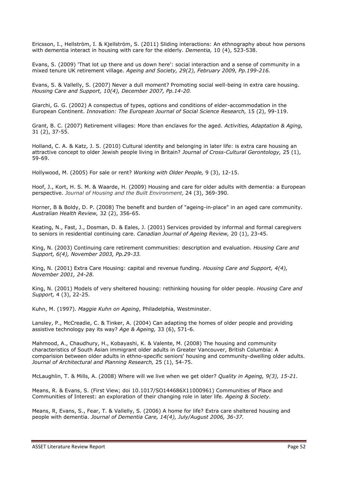Ericsson, I., Hellström, I. & Kjellström, S. (2011) Sliding interactions: An ethnography about how persons with dementia interact in housing with care for the elderly. *Dementia,* 10 (4), 523-538.

Evans, S. (2009) 'That lot up there and us down here': social interaction and a sense of community in a mixed tenure UK retirement village. *Ageing and Society, 29(2), February 2009, Pp.199-216.*

Evans, S. & Vallelly, S. (2007) Never a dull moment? Promoting social well-being in extra care housing. *Housing Care and Support, 10(4), December 2007, Pp.14-20.*

Giarchi, G. G. (2002) A conspectus of types, options and conditions of elder-accommodation in the European Continent. *Innovation: The European Journal of Social Science Research,* 15 (2), 99-119.

Grant, B. C. (2007) Retirement villages: More than enclaves for the aged. *Activities, Adaptation & Aging,*  31 (2), 37-55.

Holland, C. A. & Katz, J. S. (2010) Cultural identity and belonging in later life: is extra care housing an attractive concept to older Jewish people living in Britain? *Journal of Cross-Cultural Gerontology,* 25 (1), 59-69.

Hollywood, M. (2005) For sale or rent? *Working with Older People,* 9 (3), 12-15.

Hoof, J., Kort, H. S. M. & Waarde, H. (2009) Housing and care for older adults with dementia: a European perspective. *Journal of Housing and the Built Environment,* 24 (3), 369-390.

Horner, B & Boldy, D. P. (2008) The benefit and burden of "ageing-in-place" in an aged care community. *Australian Health Review,* 32 (2), 356-65.

Keating, N., Fast, J., Dosman, D. & Eales, J. (2001) Services provided by informal and formal caregivers to seniors in residential continuing care. *Canadian Journal of Ageing Review,* 20 (1), 23-45.

King, N. (2003) Continuing care retirement communities: description and evaluation. *Housing Care and Support, 6(4), November 2003, Pp.29-33.*

King, N. (2001) Extra Care Housing: capital and revenue funding. *Housing Care and Support, 4(4), November 2001, 24-28.*

King, N. (2001) Models of very sheltered housing: rethinking housing for older people. *Housing Care and Support,* 4 (3), 22-25.

Kuhn, M. (1997). *Maggie Kuhn on Ageing*, Philadelphia, Westminster.

Lansley, P., McCreadie, C. & Tinker, A. (2004) Can adapting the homes of older people and providing assistive technology pay its way? *Age & Ageing,* 33 (6), 571-6.

Mahmood, A., Chaudhury, H., Kobayashi, K. & Valente, M. (2008) The housing and community characteristics of South Asian immigrant older adults in Greater Vancouver, British Columbia: A comparision between older adults in ethno-specific seniors' housing and community-dwelling older adults. *Journal of Architectural and Planning Research,* 25 (1), 54-75.

McLaughlin, T. & Mills, A. (2008) Where will we live when we get older? *Quality in Ageing, 9(3), 15-21.*

Means, R. & Evans, S. (First View; doi 10.1017/SO144686X11000961) Communities of Place and Communities of Interest: an exploration of their changing role in later life. *Ageing & Society.*

Means, R, Evans, S., Fear, T. & Vallelly, S. (2006) A home for life? Extra care sheltered housing and people with dementia. *Journal of Dementia Care, 14(4), July/August 2006, 36-37.*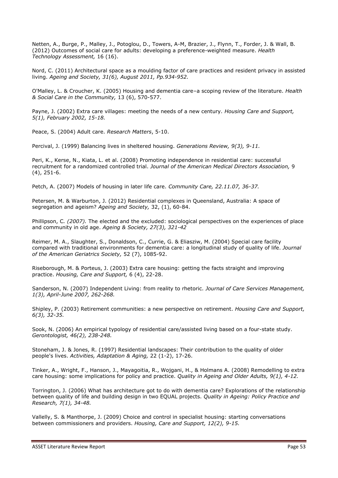Netten, A., Burge, P., Malley, J., Potoglou, D., Towers, A-M, Brazier, J., Flynn, T., Forder, J. & Wall, B. (2012) Outcomes of social care for adults: developing a preference-weighted measure. *Health Technology Assessment,* 16 (16).

Nord, C. (2011) Architectural space as a moulding factor of care practices and resident privacy in assisted living. *Ageing and Society, 31(6), August 2011, Pp.934-952.*

O'Malley, L. & Croucher, K. (2005) Housing and dementia care–a scoping review of the literature. *Health & Social Care in the Community,* 13 (6), 570-577.

Payne, J. (2002) Extra care villages: meeting the needs of a new century. *Housing Care and Support, 5(1), February 2002, 15-18.*

Peace, S. (2004) Adult care. *Research Matters*, 5-10.

Percival, J. (1999) Balancing lives in sheltered housing. *Generations Review, 9(3), 9-11.*

Peri, K., Kerse, N., Kiata, L. et al. (2008) Promoting independence in residential care: successful recruitment for a randomized controlled trial. *Journal of the American Medical Directors Association,* 9 (4), 251-6.

Petch, A. (2007) Models of housing in later life care. *Community Care, 22.11.07, 36-37.*

Petersen, M. & Warburton, J. (2012) Residential complexes in Queensland, Australia: A space of segregation and ageism? *Ageing and Society,* 32, (1), 60-84.

Phillipson, C*. (2007).* The elected and the excluded: sociological perspectives on the experiences of place and community in old age. *Ageing & Society, 27(3), 321-42*

Reimer, M. A., Slaughter, S., Donaldson, C., Currie, G. & Eliasziw, M. (2004) Special care facility compared with traditional environments for dementia care: a longitudinal study of quality of life. *Journal of the American Geriatrics Society,* 52 (7), 1085-92.

Riseborough, M. & Porteus, J. (2003) Extra care housing: getting the facts straight and improving practice. *Housing, Care and Support,* 6 (4), 22-28.

Sanderson, N. (2007) Independent Living: from reality to rhetoric. *Journal of Care Services Management, 1(3), April-June 2007, 262-268.*

Shipley, P. (2003) Retirement communities: a new perspective on retirement. *Housing Care and Support, 6(3), 32-35.*

Sook, N. (2006) An empirical typology of residential care/assisted living based on a four-state study. *Gerontologist, 46(2), 238-248.*

Stoneham, J. & Jones, R. (1997) Residential landscapes: Their contribution to the quality of older people's lives. *Activities, Adaptation & Aging,* 22 (1-2), 17-26.

Tinker, A., Wright, F., Hanson, J., Mayagoitia, R., Wojgani, H., & Holmans A. (2008) Remodelling to extra care housing: some implications for policy and practice. *Quality in Ageing and Older Adults, 9(1), 4-12.*

Torrington, J. (2006) What has architecture got to do with dementia care? Explorations of the relationship between quality of life and building design in two EQUAL projects. *Quality in Ageing: Policy Practice and Research, 7(1), 34-48.*

Vallelly, S. & Manthorpe, J. (2009) Choice and control in specialist housing: starting conversations between commissioners and providers. *Housing, Care and Support, 12(2), 9-15.*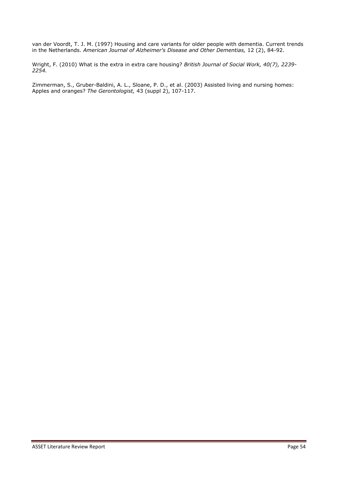<span id="page-54-0"></span>van der Voordt, T. J. M. (1997) Housing and care variants for older people with dementia. Current trends in the Netherlands. *American Journal of Alzheimer's Disease and Other Dementias,* 12 (2), 84-92.

Wright, F. (2010) What is the extra in extra care housing? *British Journal of Social Work, 40(7), 2239- 2254.*

Zimmerman, S., Gruber-Baldini, A. L., Sloane, P. D., et al. (2003) Assisted living and nursing homes: Apples and oranges? *The Gerontologist,* 43 (suppl 2), 107-117.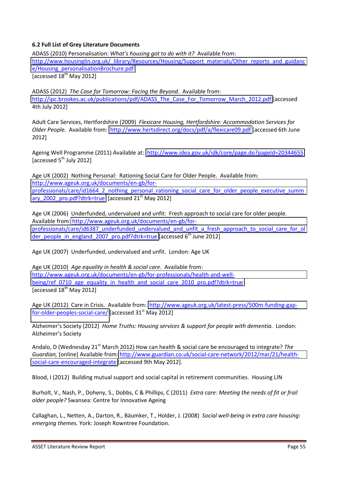#### **6.2 Full List of Grey Literature Documents**

ADASS (2010) Personalisation: What's housing got to do with it? Available from: [http://www.housinglin.org.uk/\\_library/Resources/Housing/Support\\_materials/Other\\_reports\\_and\\_guidanc](http://www.housinglin.org.uk/_library/Resources/Housing/Support_materials/Other_reports_and_guidance/Housing_personalisationBrochure.pdf) [e/Housing\\_personalisationBrochure.pdf](http://www.housinglin.org.uk/_library/Resources/Housing/Support_materials/Other_reports_and_guidance/Housing_personalisationBrochure.pdf) [accessed  $18^{th}$  May 2012]

ADASS (2012) *The Case for Tomorrow: Facing the Beyond*. Available from: [http://ipc.brookes.ac.uk/publications/pdf/ADASS\\_The\\_Case\\_For\\_Tomorrow\\_March\\_2012.pdf](http://ipc.brookes.ac.uk/publications/pdf/ADASS_The_Case_For_Tomorrow_March_2012.pdf) [accessed 4th July 2012]

Adult Care Services, Hertfordshire (2009) *Flexicare Housing, Hertfordshire: Accommodation Services for Older People.* Available from: <http://www.hertsdirect.org/docs/pdf/a/flexicare09.pdf>[accessed 6th June 2012]

Ageing Well Programme (2011) Available at: <http://www.idea.gov.uk/idk/core/page.do?pageId=20344655> [accessed  $5<sup>th</sup>$  July 2012]

Age UK (2002) Nothing Personal: Rationing Social Care for Older People. Available from: [http://www.ageuk.org.uk/documents/en-gb/for](http://www.ageuk.org.uk/documents/en-gb/for-professionals/care/id1664_2_nothing_personal_rationing_social_care_for_older_people_executive_summary_2002_pro.pdf?dtrk=true)[professionals/care/id1664\\_2\\_nothing\\_personal\\_rationing\\_social\\_care\\_for\\_older\\_people\\_executive\\_summ](http://www.ageuk.org.uk/documents/en-gb/for-professionals/care/id1664_2_nothing_personal_rationing_social_care_for_older_people_executive_summary_2002_pro.pdf?dtrk=true) ary 2002 pro.pdf?dtrk=true [accessed 21<sup>st</sup> May 2012]

Age UK (2006) Underfunded, undervalued and unfit: Fresh approach to social care for older people. Available from: [http://www.ageuk.org.uk/documents/en-gb/for](http://www.ageuk.org.uk/documents/en-gb/for-professionals/care/id6387_underfunded_undervalued_and_unfit_a_fresh_approach_to_social_care_for_older_people_in_england_2007_pro.pdf?dtrk=true)[professionals/care/id6387\\_underfunded\\_undervalued\\_and\\_unfit\\_a\\_fresh\\_approach\\_to\\_social\\_care\\_for\\_ol](http://www.ageuk.org.uk/documents/en-gb/for-professionals/care/id6387_underfunded_undervalued_and_unfit_a_fresh_approach_to_social_care_for_older_people_in_england_2007_pro.pdf?dtrk=true) der people in england 2007 pro.pdf?dtrk=true [accessed  $6<sup>th</sup>$  June 2012]

Age UK (2007) Underfunded, undervalued and unfit. London: Age UK

Age UK (2010) *Age equality in health & social care*. Available from: [http://www.ageuk.org.uk/documents/en-gb/for-professionals/health-and-well](http://www.ageuk.org.uk/documents/en-gb/for-professionals/health-and-wellbeing/ref_0710_age_equality_in_health_and_social_care_2010_pro.pdf?dtrk=true)[being/ref\\_0710\\_age\\_equality\\_in\\_health\\_and\\_social\\_care\\_2010\\_pro.pdf?dtrk=true](http://www.ageuk.org.uk/documents/en-gb/for-professionals/health-and-wellbeing/ref_0710_age_equality_in_health_and_social_care_2010_pro.pdf?dtrk=true) [accessed  $18^{th}$  May 2012]

Age UK (2012) Care in Crisis. Available from: [http://www.ageuk.org.uk/latest-press/500m-funding-gap](http://www.ageuk.org.uk/latest-press/500m-funding-gap-for-older-peoples-social-care/)[for-older-peoples-social-care/ \[](http://www.ageuk.org.uk/latest-press/500m-funding-gap-for-older-peoples-social-care/)accessed 31<sup>st</sup> May 2012]

Alzheimer's Society (2012) Home Truths: Housing services & support for people with dementia. London: Alzheimer's Society

Andalo, D (Wednesday 21<sup>st</sup> March 2012) How can health & social care be encouraged to integrate? *The Guardian,* [online] Available from: [http://www.guardian.co.uk/social-care-network/2012/mar/21/health](http://www.guardian.co.uk/social-care-network/2012/mar/21/health-social-care-encouraged-integrate)[social-care-encouraged-integrate](http://www.guardian.co.uk/social-care-network/2012/mar/21/health-social-care-encouraged-integrate) [accessed 9th May 2012].

Blood, I (2012) Building mutual support and social capital in retirement communities. Housing LIN

Burholt, V., Nash, P., Doheny, S., Dobbs, C & Phillips, C (2011) *Extra care: Meeting the needs of fit or frail older people?* Swansea: Centre for Innovative Ageing

Callaghan, L., Netten, A., Darton, R., Bäumker, T., Holder, J. (2008) *Social well-being in extra care housing: emerging themes.* York: Joseph Rowntree Foundation.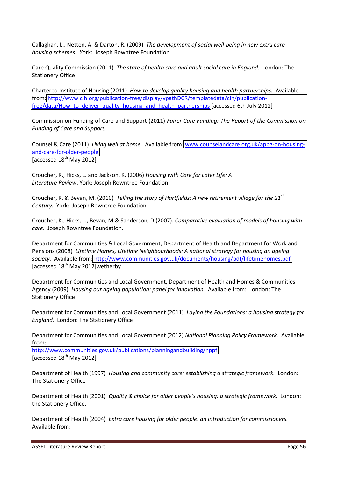Callaghan, L., Netten, A. & Darton, R. (2009) *The development of social well-being in new extra care housing schemes. Y*ork: Joseph Rowntree Foundation

Care Quality Commission (2011) *The state of health care and adult social care in England.* London: The Stationery Office

Chartered Institute of Housing (2011) *How to develop quality housing and health partnerships.* Available from: [http://www.cih.org/publication-free/display/vpathDCR/templatedata/cih/publication](http://www.cih.org/publication-free/display/vpathDCR/templatedata/cih/publication-free/data/How_to_deliver_quality_housing_and_health_partnerships)free/data/How to deliver quality housing and health partnerships [accessed 6th July 2012]

Commission on Funding of Care and Support (2011) *Fairer Care Funding: The Report of the Commission on Funding of Care and Support.* 

Counsel & Care (2011) *Living well at home.* Available from: [www.counselandcare.org.uk/appg-on-housing](http://www.counselandcare.org.uk/appg-on-housing-and-care-for-older-people)[and-care-for-older-people](http://www.counselandcare.org.uk/appg-on-housing-and-care-for-older-people) [accessed  $18^{th}$  May 2012]

Croucher, K., Hicks, L. and Jackson, K. (2006) *Housing with Care for Later Life: A Literature Review*. York: Joseph Rowntree Foundation

Croucher, K. & Bevan, M. (2010) *Telling the story of Hartfields: A new retirement village for the 21st Century.* York:Joseph Rowntree Foundation,

Croucher, K., Hicks, L., Bevan, M & Sanderson, D (2007). *Comparative evaluation of models of housing with care.* Joseph Rowntree Foundation.

Department for Communities & Local Government, Department of Health and Department for Work and Pensions (2008) *Lifetime Homes, Lifetime Neighbourhoods: A national strategy for housing an ageing society.* Available from[: http://www.communities.gov.uk/documents/housing/pdf/lifetimehomes.pdf](http://www.communities.gov.uk/documents/housing/pdf/lifetimehomes.pdf) [accessed  $18<sup>th</sup>$  May 2012] wetherby

Department for Communities and Local Government, Department of Health and Homes & Communities Agency (2009) *Housing our ageing population: panel for innovation.* Available from: London: The Stationery Office

Department for Communities and Local Government (2011) *Laying the Foundations: a housing strategy for England.* London: The Stationery Office

Department for Communities and Local Government (2012) *National Planning Policy Framework.* Available from:

<http://www.communities.gov.uk/publications/planningandbuilding/nppf> [accessed  $18^{th}$  May 2012]

Department of Health (1997) *Housing and community care: establishing a strategic framework.* London: The Stationery Office

Department of Health (2001) *Quality & choice for older people's housing: a strategic framework.* London: the Stationery Office.

Department of Health (2004) *Extra care housing for older people: an introduction for commissioners.*  Available from: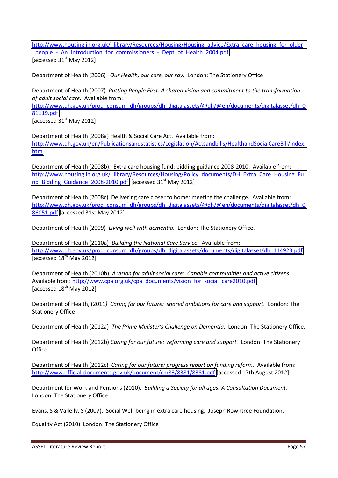[http://www.housinglin.org.uk/\\_library/Resources/Housing/Housing\\_advice/Extra\\_care\\_housing\\_for\\_older](http://www.housinglin.org.uk/_library/Resources/Housing/Housing_advice/Extra_care_housing_for_older_people_-_An_introduction_for_commissioners_-_Dept_of_Health_2004.pdf) people - An introduction for commissioners - Dept of Health 2004.pdf [accessed  $31<sup>st</sup>$  May 2012]

Department of Health (2006) *Our Health, our care, our say.* London: The Stationery Office

Department of Health (2007) *Putting People First: A shared vision and commitment to the transformation of adult social care.* Available from:

[http://www.dh.gov.uk/prod\\_consum\\_dh/groups/dh\\_digitalassets/@dh/@en/documents/digitalasset/dh\\_0](http://www.dh.gov.uk/prod_consum_dh/groups/dh_digitalassets/@dh/@en/documents/digitalasset/dh_081119.pdf) [81119.pdf](http://www.dh.gov.uk/prod_consum_dh/groups/dh_digitalassets/@dh/@en/documents/digitalasset/dh_081119.pdf)

[accessed  $31<sup>st</sup>$  May 2012]

Department of Health (2008a) Health & Social Care Act. Available from: [http://www.dh.gov.uk/en/Publicationsandstatistics/Legislation/Actsandbills/HealthandSocialCareBill/index.](http://www.dh.gov.uk/en/Publicationsandstatistics/Legislation/Actsandbills/HealthandSocialCareBill/index.htm) [htm](http://www.dh.gov.uk/en/Publicationsandstatistics/Legislation/Actsandbills/HealthandSocialCareBill/index.htm) 

Department of Health (2008b). Extra care housing fund: bidding guidance 2008-2010. Available from: [http://www.housinglin.org.uk/\\_library/Resources/Housing/Policy\\_documents/DH\\_Extra\\_Care\\_Housing\\_Fu](http://www.housinglin.org.uk/_library/Resources/Housing/Policy_documents/DH_Extra_Care_Housing_Fund_Bidding_Guidance_2008-2010.pdf) nd Bidding Guidance 2008-2010.pdf [accessed 31<sup>st</sup> May 2012]

Department of Health (2008c) Delivering care closer to home: meeting the challenge. Available from: [http://www.dh.gov.uk/prod\\_consum\\_dh/groups/dh\\_digitalassets/@dh/@en/documents/digitalasset/dh\\_0](http://www.dh.gov.uk/prod_consum_dh/groups/dh_digitalassets/@dh/@en/documents/digitalasset/dh_086051.pdf) [86051.pdf \[](http://www.dh.gov.uk/prod_consum_dh/groups/dh_digitalassets/@dh/@en/documents/digitalasset/dh_086051.pdf)accessed 31st May 2012]

Department of Health (2009) *Living well with dementia.* London: The Stationery Office.

Department of Health (2010a) *Building the National Care Service.* Available from: [http://www.dh.gov.uk/prod\\_consum\\_dh/groups/dh\\_digitalassets/documents/digitalasset/dh\\_114923.pdf](http://www.dh.gov.uk/prod_consum_dh/groups/dh_digitalassets/documents/digitalasset/dh_114923.pdf)  $T$ accessed  $18<sup>th</sup>$  May 2012]

Department of Health (2010b) *A vision for adult social care: Capable communities and active citizens.* Available from: [http://www.cpa.org.uk/cpa\\_documents/vision\\_for\\_social\\_care2010.pdf](http://www.cpa.org.uk/cpa_documents/vision_for_social_care2010.pdf) [accessed  $18^{th}$  May 2012]

Department of Health, (2011*) Caring for our future: shared ambitions for care and support.* London: The Stationery Office

Department of Health (2012a) *The Prime Minister's Challenge on Dementia*. London: The Stationery Office.

Department of Health (2012b) *Caring for our future: reforming care and support.* London: The Stationery Office.

Department of Health (2012c) *Caring for our future: progress report on funding reform.* Available from: <http://www.official-documents.gov.uk/document/cm83/8381/8381.pdf>[accessed 17th August 2012]

Department for Work and Pensions (2010). *Building a Society for all ages: A Consultation Document.*  London: The Stationery Office

Evans, S & Vallelly, S (2007). Social Well-being in extra care housing. Joseph Rowntree Foundation.

Equality Act (2010) London: The Stationery Office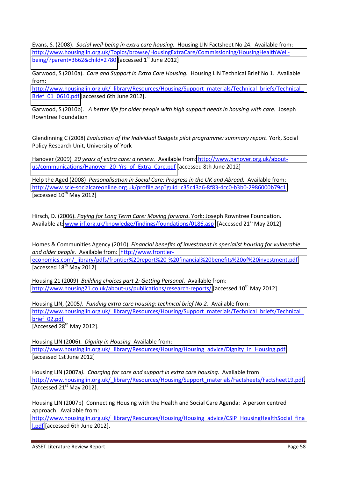Evans, S. (2008). *Social well-being in extra care housing.* Housing LIN Factsheet No 24. Available from: [http://www.housinglin.org.uk/Topics/browse/HousingExtraCare/Commissioning/HousingHealthWell](http://www.housinglin.org.uk/Topics/browse/HousingExtraCare/Commissioning/HousingHealthWellbeing/?parent=3662&child=2780)[being/?parent=3662&child=2780](http://www.housinglin.org.uk/Topics/browse/HousingExtraCare/Commissioning/HousingHealthWellbeing/?parent=3662&child=2780) [accessed  $1<sup>st</sup>$  June 2012]

Garwood, S (2010a). *Care and Support in Extra Care Housing.* Housing LIN Technical Brief No 1. Available from:

http://www.housinglin.org.uk/\_library/Resources/Housing/Support\_materials/Technical\_briefs/Technical Brief 01 0610.pdf [accessed 6th June 2012].

Garwood, S (2010b). *A better life for older people with high support needs in housing with care.* Joseph Rowntree Foundation

Glendinning C (2008) *Evaluation of the Individual Budgets pilot programme: summary report*. York, Social Policy Research Unit, University of York

Hanover (2009) *20 years of extra care: a review.* Available from: [http://www.hanover.org.uk/about](http://www.hanover.org.uk/about-us/communications/Hanover_20_Yrs_of_Extra_Care.pdf)[us/communications/Hanover\\_20\\_Yrs\\_of\\_Extra\\_Care.pdf](http://www.hanover.org.uk/about-us/communications/Hanover_20_Yrs_of_Extra_Care.pdf) [accessed 8th June 2012]

Help the Aged (2008) *Personalisation in Social Care: Progress in the UK and Abroad.* Available from: <http://www.scie-socialcareonline.org.uk/profile.asp?guid=c35c43a6-8f83-4cc0-b3b0-2986000b79c1> [accessed  $10^{th}$  May 2012]

Hirsch, D. (2006). *Paying for Long Term Care: Moving forward*. York: Joseph Rowntree Foundation. Available at: [www.jrf.org.uk/knowledge/findings/foundations/0186.asp](http://www.jrf.org.uk/knowledge/findings/foundations/0186.asp) [Accessed 21<sup>st</sup> May 2012]

Homes & Communities Agency (2010) *Financial benefits of investment in specialist housing for vulnerable and older people.* Available from: [http://www.frontier](http://www.frontier-economics.com/_library/pdfs/frontier%20report%20-%20financial%20benefits%20of%20investment.pdf)[economics.com/\\_library/pdfs/frontier%20report%20-%20financial%20benefits%20of%20investment.pdf](http://www.frontier-economics.com/_library/pdfs/frontier%20report%20-%20financial%20benefits%20of%20investment.pdf) [accessed  $18^{th}$  May 2012]

Housing 21 (2009) *Building choices part 2: Getting Personal*. Available from: <http://www.housing21.co.uk/about-us/publications/research-reports/>[accessed 10<sup>th</sup> May 2012]

Housing LIN, (2005*). Funding extra care housing: technical brief No 2*. Available from: http://www.housinglin.org.uk/\_library/Resources/Housing/Support\_materials/Technical\_briefs/Technical [brief\\_02.pdf](http://www.housinglin.org.uk/_library/Resources/Housing/Support_materials/Technical_briefs/Technical_brief_02.pdf) [Accessed  $28^{th}$  May 2012].

Housing LIN (2006). *Dignity in Housing* Available from: [http://www.housinglin.org.uk/\\_library/Resources/Housing/Housing\\_advice/Dignity\\_in\\_Housing.pdf](http://www.housinglin.org.uk/_library/Resources/Housing/Housing_advice/Dignity_in_Housing.pdf) [accessed 1st June 2012]

Housing LIN (2007a*). Charging for care and support in extra care housing*. Available from [http://www.housinglin.org.uk/\\_library/Resources/Housing/Support\\_materials/Factsheets/Factsheet19.pdf.](http://www.housinglin.org.uk/_library/Resources/Housing/Support_materials/Factsheets/Factsheet19.pdf) [Accessed  $21<sup>st</sup>$  May 2012].

Housing LIN (2007b) Connecting Housing with the Health and Social Care Agenda: A person centred approach. Available from:

[http://www.housinglin.org.uk/\\_library/Resources/Housing/Housing\\_advice/CSIP\\_HousingHealthSocial\\_fina](http://www.housinglin.org.uk/_library/Resources/Housing/Housing_advice/CSIP_HousingHealthSocial_final.pdf) [l.pdf](http://www.housinglin.org.uk/_library/Resources/Housing/Housing_advice/CSIP_HousingHealthSocial_final.pdf) [accessed 6th June 2012].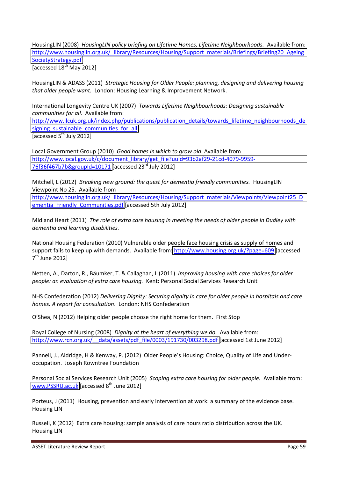HousingLIN (2008) *HousingLIN policy briefing on Lifetime Homes, Lifetime Neighbourhoods.* Available from: [http://www.housinglin.org.uk/\\_library/Resources/Housing/Support\\_materials/Briefings/Briefing20\\_Ageing](http://www.housinglin.org.uk/_library/Resources/Housing/Support_materials/Briefings/Briefing20_AgeingSocietyStrategy.pdf) [SocietyStrategy.pdf](http://www.housinglin.org.uk/_library/Resources/Housing/Support_materials/Briefings/Briefing20_AgeingSocietyStrategy.pdf) [accessed  $18^{th}$  May 2012]

HousingLIN & ADASS (2011) *Strategic Housing for Older People: planning, designing and delivering housing that older people want.* London: Housing Learning & Improvement Network.

International Longevity Centre UK (2007) *Towards Lifetime Neighbourhoods: Designing sustainable communities for all.* Available from: [http://www.ilcuk.org.uk/index.php/publications/publication\\_details/towards\\_lifetime\\_neighbourhoods\\_de](http://www.ilcuk.org.uk/index.php/publications/publication_details/towards_lifetime_neighbourhoods_designing_sustainable_communities_for_all) signing sustainable communities for all [accessed  $5<sup>th</sup>$  July 2012]

Local Government Group (2010) *Good homes in which to grow old* Available from [http://www.local.gov.uk/c/document\\_library/get\\_file?uuid=93b2af29-21cd-4079-9959-](http://www.local.gov.uk/c/document_library/get_file?uuid=93b2af29-21cd-4079-9959-76f36f467b7b&groupId=10171) [76f36f467b7b&groupId=10171 \[](http://www.local.gov.uk/c/document_library/get_file?uuid=93b2af29-21cd-4079-9959-76f36f467b7b&groupId=10171)accessed 23rd July 2012]

Mitchell, L (2012) *Breaking new ground: the quest for dementia friendly communities.* HousingLIN Viewpoint No 25. Available from [http://www.housinglin.org.uk/\\_library/Resources/Housing/Support\\_materials/Viewpoints/Viewpoint25\\_D](http://www.housinglin.org.uk/_library/Resources/Housing/Support_materials/Viewpoints/Viewpoint25_Dementia_Friendly_Communities.pdf) [ementia\\_Friendly\\_Communities.pdf](http://www.housinglin.org.uk/_library/Resources/Housing/Support_materials/Viewpoints/Viewpoint25_Dementia_Friendly_Communities.pdf) [accessed 5th July 2012]

Midland Heart (2011) *The role of extra care housing in meeting the needs of older people in Dudley with dementia and learning disabilities.* 

National Housing Federation (2010) Vulnerable older people face housing crisis as supply of homes and support fails to keep up with demands. Available from:<http://www.housing.org.uk/?page=609>[accessed 7<sup>th</sup> June 2012]

Netten, A., Darton, R., B‰umker, T. & Callaghan, L (2011) *Improving housing with care choices for older people: an evaluation of extra care housing.* Kent: Personal Social Services Research Unit

NHS Confederation (2012) *Delivering Dignity: Securing dignity in care for older people in hospitals and care homes. A report for consultation*. London: NHS Confederation

O'Shea, N (2012) Helping older people choose the right home for them. First Stop

Royal College of Nursing (2008) *Dignity at the heart of everything we do.* Available from: http://www.rcn.org.uk/ data/assets/pdf file/0003/191730/003298.pdf [accessed 1st June 2012]

Pannell, J., Aldridge, H & Kenway, P. (2012) Older People's Housing: Choice, Quality of Life and Underoccupation. Joseph Rowntree Foundation

Personal Social Services Research Unit (2005) *Scoping extra care housing for older people.* Available from: [www.PSSRU.ac.uk](http://www.pssru.ac.uk/) [accessed 8<sup>th</sup> June 2012]

Porteus, J (2011) Housing, prevention and early intervention at work: a summary of the evidence base. Housing LIN

Russell, K (2012) Extra care housing: sample analysis of care hours ratio distribution across the UK. Housing LIN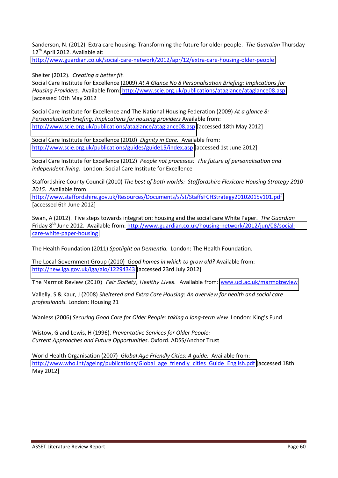<span id="page-60-0"></span>Sanderson, N. (2012) Extra care housing: Transforming the future for older people. *The Guardian* Thursday  $12^{th}$  April 2012. Available at:

<http://www.guardian.co.uk/social-care-network/2012/apr/12/extra-care-housing-older-people>

Shelter (2012). *Creating a better fit.* 

Social Care Institute for Excellence (2009) *At A Glance No 8 Personalisation Briefing: Implications for Housing Providers.* Available from:<http://www.scie.org.uk/publications/ataglance/ataglance08.asp> [accessed 10th May 2012

Social Care Institute for Excellence and The National Housing Federation (2009) *At a glance 8: Personalisation briefing: Implications for housing providers* Available from: <http://www.scie.org.uk/publications/ataglance/ataglance08.asp>[accessed 18th May 2012]

Social Care Institute for Excellence (2010) *Dignity in Care.* Available from: [http://www.scie.org.uk/publications/guides/guide15/index.asp \[](http://www.scie.org.uk/publications/guides/guide15/index.asp)accessed 1st June 2012]

Social Care Institute for Excellence (2012) *People not processes: The future of personalisation and independent living.* London: Social Care Institute for Excellence

Staffordshire County Council (2010) *The best of both worlds: Staffordshire Flexicare Housing Strategy 2010- 2015.* Available from:

<http://www.staffordshire.gov.uk/Resources/Documents/s/st/StaffsFCHStrategy20102015v101.pdf> [accessed 6th June 2012]

Swan, A (2012). Five steps towards integration: housing and the social care White Paper. *The Guardian*  Friday 8th June 2012. Available from: [http://www.guardian.co.uk/housing-network/2012/jun/08/social](http://www.guardian.co.uk/housing-network/2012/jun/08/social-care-white-paper-housing)[care-white-paper-housing](http://www.guardian.co.uk/housing-network/2012/jun/08/social-care-white-paper-housing)

The Health Foundation (2011) *Spotlight on Dementia.* London: The Health Foundation.

The Local Government Group (2010) *Good homes in which to grow old?* Available from: <http://new.lga.gov.uk/lga/aio/12294343>[accessed 23rd July 2012]

The Marmot Review (2010) *Fair Society, Healthy Lives.* Available from: [www.ucl.ac.uk/marmotreview](http://www.ucl.ac.uk/marmotreview)

Vallelly, S & Kaur, J (2008) *Sheltered and Extra Care Housing: An overview for health and social care professionals.* London: Housing 21

Wanless (2006) *Securing Good Care for Older People: taking a long-term view* London: King's Fund

Wistow, G and Lewis, H (1996). *Preventative Services for Older People: Current Approaches and Future Opportunities*. Oxford. ADSS/Anchor Trust

World Health Organisation (2007) *Global Age Friendly Cities: A guide.* Available from: [http://www.who.int/ageing/publications/Global\\_age\\_friendly\\_cities\\_Guide\\_English.pdf \[](http://www.who.int/ageing/publications/Global_age_friendly_cities_Guide_English.pdf)accessed 18th May 2012]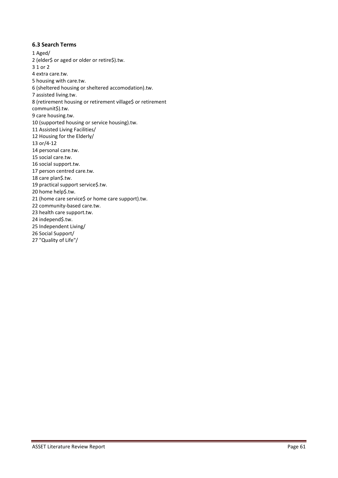#### **6.3 Search Terms**

- 1 Aged/ 2 (elder\$ or aged or older or retire\$).tw. 3 1 or 2 4 extra care.tw. 5 housing with care.tw. 6 (sheltered housing or sheltered accomodation).tw. 7 assisted living.tw. 8 (retirement housing or retirement village\$ or retirement communit\$).tw. 9 care housing.tw. 10 (supported housing or service housing).tw. 11 Assisted Living Facilities/ 12 Housing for the Elderly/ 13 or/4-12 14 personal care.tw. 15 social care.tw. 16 social support.tw. 17 person centred care.tw. 18 care plan\$.tw. 19 practical support service\$.tw. 20 home help\$.tw. 21 (home care service\$ or home care support).tw. 22 community-based care.tw. 23 health care support.tw. 24 independ\$.tw. 25 Independent Living/ 26 Social Support/
- <span id="page-61-0"></span>27 "Quality of Life"/